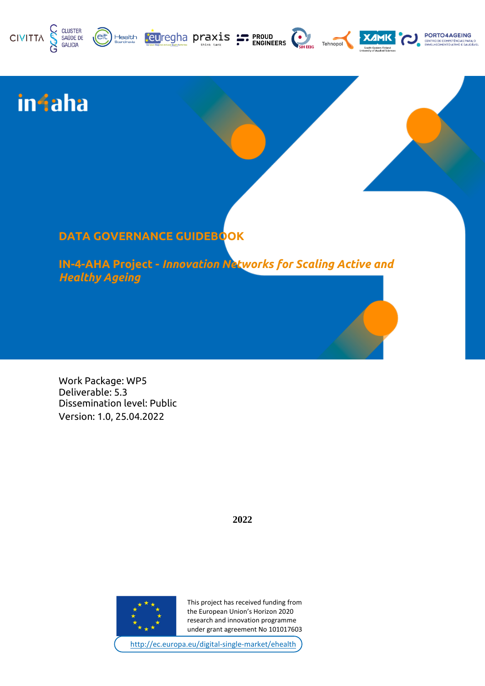





PORTO4AGEING

# **infaha**

# **DATA GOVERNANCE GUIDEBOOK**

Health

**IN-4-AHA Project -** *Innovation Networks for Scaling Active and Healthy Ageing*

Work Package: WP5 Deliverable: 5.3 Dissemination level: Public Version: 1.0, 25.04.2022

**2022**



This project has received funding from the European Union's Horizon 2020 research and innovation programme under grant agreement No 101017603

<http://ec.europa.eu/digital-single-market/ehealth>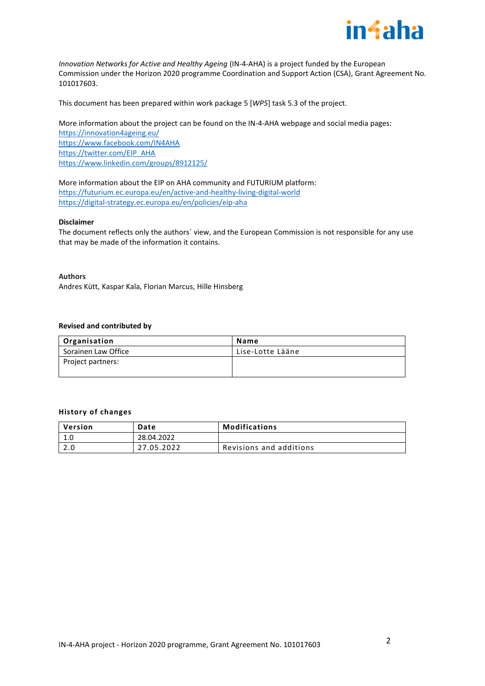

*Innovation Networks for Active and Healthy Ageing (IN-4-AHA) is a project funded by the European* Commission under the Horizon 2020 programme Coordination and Support Action (CSA), Grant Agreement No. 101017603.

This document has been prepared within work package 5 [*WP5*] task 5.3 of the project.

## More information about the project can be found on the IN-4-AHA webpage and social media pages:

<https://innovation4ageing.eu/> <https://www.facebook.com/IN4AHA> [https://twitter.com/EIP\\_AHA](https://twitter.com/EIP_AHA) <https://www.linkedin.com/groups/8912125/>

#### More information about the EIP on AHA community and FUTURIUM platform:

<https://futurium.ec.europa.eu/en/active-and-healthy-living-digital-world> <https://digital-strategy.ec.europa.eu/en/policies/eip-aha>

#### **Disclaimer**

The document reflects only the authors´ view, and the European Commission is not responsible for any use that may be made of the information it contains.

#### **Authors**

Andres Kütt, Kaspar Kala, Florian Marcus, Hille Hinsberg

#### **Revised and contributed by**

| Organisation        | Name             |
|---------------------|------------------|
| Sorainen Law Office | Lise-Lotte Lääne |
| Project partners:   |                  |
|                     |                  |

#### **History of changes**

| Version | <b>Date</b> | Modifications           |
|---------|-------------|-------------------------|
| 1.0     | 28.04.2022  |                         |
| 2.0     | 27.05.2022  | Revisions and additions |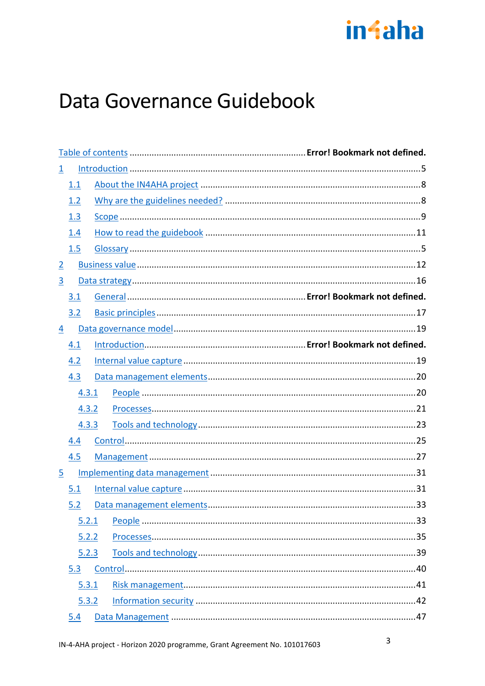

# Data Governance Guidebook

| $\mathbf{\underline{1}}$ |       |  |
|--------------------------|-------|--|
| 1.1                      |       |  |
| 1.2                      |       |  |
| 1.3                      |       |  |
| 1.4                      |       |  |
| 1.5                      |       |  |
| $\overline{2}$           |       |  |
| $\overline{3}$           |       |  |
| 3.1                      |       |  |
| 3.2                      |       |  |
| 4                        |       |  |
| 4.1                      |       |  |
| 4.2                      |       |  |
| 4.3                      |       |  |
|                          | 4.3.1 |  |
|                          | 4.3.2 |  |
|                          | 4.3.3 |  |
| 4.4                      |       |  |
| 4.5                      |       |  |
| $\overline{5}$           |       |  |
| 5.1                      |       |  |
| 5.2                      |       |  |
| 5.2.1                    |       |  |
|                          | 5.2.2 |  |
|                          | 5.2.3 |  |
| 5.3                      |       |  |
|                          | 5.3.1 |  |
|                          | 5.3.2 |  |
| 5.4                      |       |  |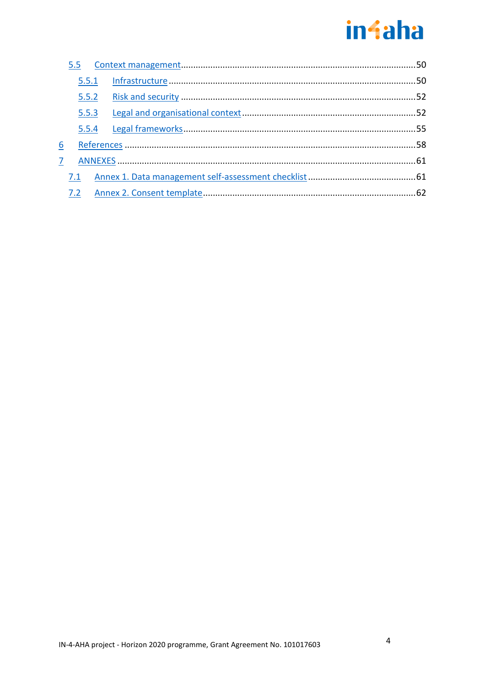# **in**faha

|   | 5.5   |  |  |
|---|-------|--|--|
|   | 5.5.1 |  |  |
|   |       |  |  |
|   | 5.5.3 |  |  |
|   | 5.5.4 |  |  |
| 6 |       |  |  |
| 7 |       |  |  |
|   | 7.1   |  |  |
|   | 7.2   |  |  |
|   |       |  |  |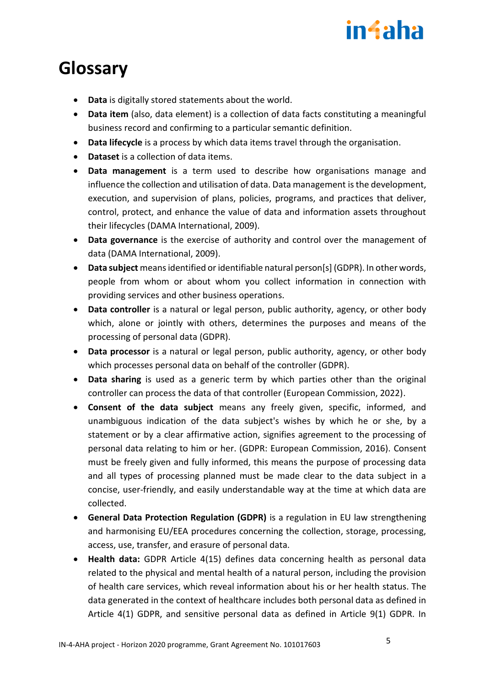# in4aha

# <span id="page-4-0"></span>**Glossary**

- **Data** is digitally stored statements about the world.
- **Data item** (also, data element) is a collection of data facts constituting a meaningful business record and confirming to a particular semantic definition.
- **Data lifecycle** is a process by which data items travel through the organisation.
- **Dataset** is a collection of data items.
- **Data management** is a term used to describe how organisations manage and influence the collection and utilisation of data. Data management is the development, execution, and supervision of plans, policies, programs, and practices that deliver, control, protect, and enhance the value of data and information assets throughout their lifecycles (DAMA International, 2009).
- **Data governance** is the exercise of authority and control over the management of data (DAMA International, 2009).
- **Data subject** means identified or identifiable natural person[s] (GDPR). In other words, people from whom or about whom you collect information in connection with providing services and other business operations.
- **Data controller** is a natural or legal person, public authority, agency, or other body which, alone or jointly with others, determines the purposes and means of the processing of personal data (GDPR).
- **Data processor** is a natural or legal person, public authority, agency, or other body which processes personal data on behalf of the controller (GDPR).
- **Data sharing** is used as a generic term by which parties other than the original controller can process the data of that controller (European Commission, 2022).
- **Consent of the data subject** means any freely given, specific, informed, and unambiguous indication of the data subject's wishes by which he or she, by a statement or by a clear affirmative action, signifies agreement to the processing of personal data relating to him or her. (GDPR: European Commission, 2016). Consent must be freely given and fully informed, this means the purpose of processing data and all types of processing planned must be made clear to the data subject in a concise, user-friendly, and easily understandable way at the time at which data are collected.
- **General Data Protection Regulation (GDPR)** is a regulation in EU law strengthening and harmonising EU/EEA procedures concerning the collection, storage, processing, access, use, transfer, and erasure of personal data.
- **Health data:** GDPR Article 4(15) defines data concerning health as personal data related to the physical and mental health of a natural person, including the provision of health care services, which reveal information about his or her health status. The data generated in the context of healthcare includes both personal data as defined in Article 4(1) GDPR, and sensitive personal data as defined in Article 9(1) GDPR. In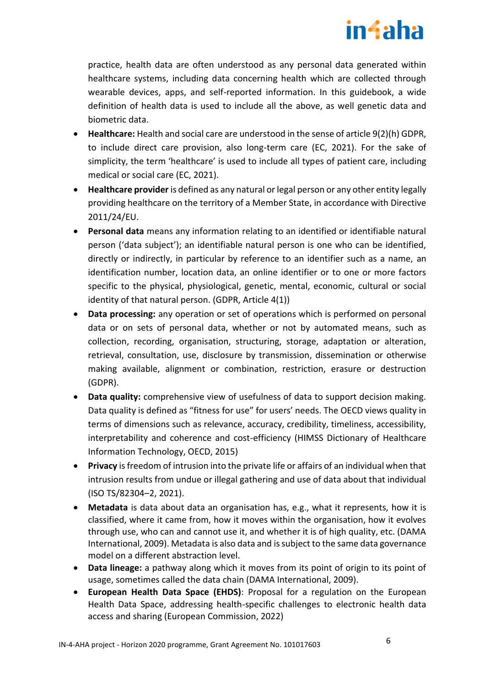# in4aha

practice, health data are often understood as any personal data generated within healthcare systems, including data concerning health which are collected through wearable devices, apps, and self-reported information. In this guidebook, a wide definition of health data is used to include all the above, as well genetic data and biometric data.

- **Healthcare:** Health and social care are understood in the sense of article 9(2)(h) GDPR, to include direct care provision, also long-term care (EC, 2021). For the sake of simplicity, the term 'healthcare' is used to include all types of patient care, including medical or social care (EC, 2021).
- **Healthcare provider** is defined as any natural or legal person or any other entity legally providing healthcare on the territory of a Member State, in accordance with Directive 2011/24/EU.
- **Personal data** means any information relating to an identified or identifiable natural person ('data subject'); an identifiable natural person is one who can be identified, directly or indirectly, in particular by reference to an identifier such as a name, an identification number, location data, an online identifier or to one or more factors specific to the physical, physiological, genetic, mental, economic, cultural or social identity of that natural person. (GDPR, Article 4(1))
- **Data processing:** any operation or set of operations which is performed on personal data or on sets of personal data, whether or not by automated means, such as collection, recording, organisation, structuring, storage, adaptation or alteration, retrieval, consultation, use, disclosure by transmission, dissemination or otherwise making available, alignment or combination, restriction, erasure or destruction (GDPR).
- **Data quality:** comprehensive view of usefulness of data to support decision making. Data quality is defined as "fitness for use" for users' needs. The OECD views quality in terms of dimensions such as relevance, accuracy, credibility, timeliness, accessibility, interpretability and coherence and cost-efficiency (HIMSS Dictionary of Healthcare Information Technology, OECD, 2015)
- **Privacy** is freedom of intrusion into the private life or affairs of an individual when that intrusion results from undue or illegal gathering and use of data about that individual (ISO TS/82304–2, 2021).
- **Metadata** is data about data an organisation has, e.g., what it represents, how it is classified, where it came from, how it moves within the organisation, how it evolves through use, who can and cannot use it, and whether it is of high quality, etc. (DAMA International, 2009). Metadata is also data and is subject to the same data governance model on a different abstraction level.
- **Data lineage:** a pathway along which it moves from its point of origin to its point of usage, sometimes called the data chain (DAMA International, 2009).
- **European Health Data Space (EHDS)**: Proposal for a regulation on the European Health Data Space, addressing health-specific challenges to electronic health data access and sharing (European Commission, 2022)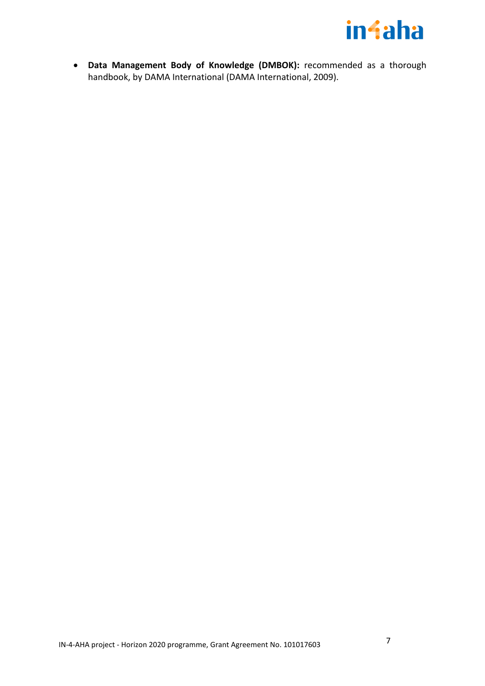

• **Data Management Body of Knowledge (DMBOK):** recommended as a thorough handbook, by DAMA International (DAMA International, 2009).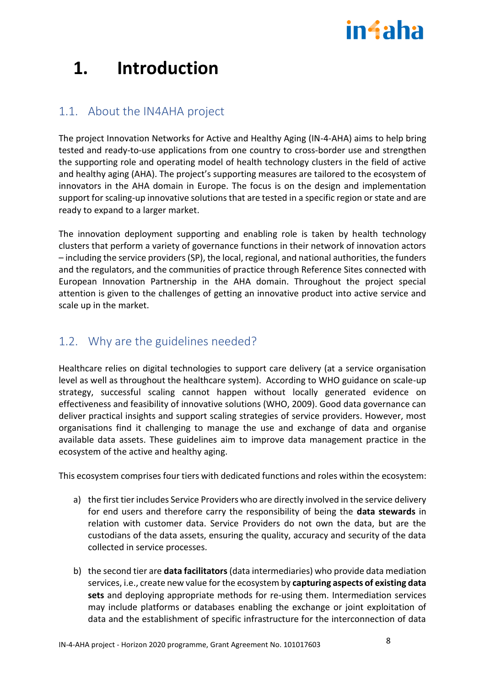# in4aha

# **1. Introduction**

# <span id="page-7-0"></span>1.1. About the IN4AHA project

The project Innovation Networks for Active and Healthy Aging (IN-4-AHA) aims to help bring tested and ready-to-use applications from one country to cross-border use and strengthen the supporting role and operating model of health technology clusters in the field of active and healthy aging (AHA). The project's supporting measures are tailored to the ecosystem of innovators in the AHA domain in Europe. The focus is on the design and implementation support for scaling-up innovative solutions that are tested in a specific region or state and are ready to expand to a larger market.

The innovation deployment supporting and enabling role is taken by health technology clusters that perform a variety of governance functions in their network of innovation actors – including the service providers (SP), the local, regional, and national authorities, the funders and the regulators, and the communities of practice through Reference Sites connected with European Innovation Partnership in the AHA domain. Throughout the project special attention is given to the challenges of getting an innovative product into active service and scale up in the market.

# <span id="page-7-1"></span>1.2. Why are the guidelines needed?

Healthcare relies on digital technologies to support care delivery (at a service organisation level as well as throughout the healthcare system). According to WHO guidance on scale-up strategy, successful scaling cannot happen without locally generated evidence on effectiveness and feasibility of innovative solutions (WHO, 2009). Good data governance can deliver practical insights and support scaling strategies of service providers. However, most organisations find it challenging to manage the use and exchange of data and organise available data assets. These guidelines aim to improve data management practice in the ecosystem of the active and healthy aging.

This ecosystem comprises four tiers with dedicated functions and roles within the ecosystem:

- a) the first tier includes Service Providers who are directly involved in the service delivery for end users and therefore carry the responsibility of being the **data stewards** in relation with customer data. Service Providers do not own the data, but are the custodians of the data assets, ensuring the quality, accuracy and security of the data collected in service processes.
- b) the second tier are **data facilitators**(data intermediaries) who provide data mediation services, i.e., create new value for the ecosystem by **capturing aspects of existing data sets** and deploying appropriate methods for re-using them. Intermediation services may include platforms or databases enabling the exchange or joint exploitation of data and the establishment of specific infrastructure for the interconnection of data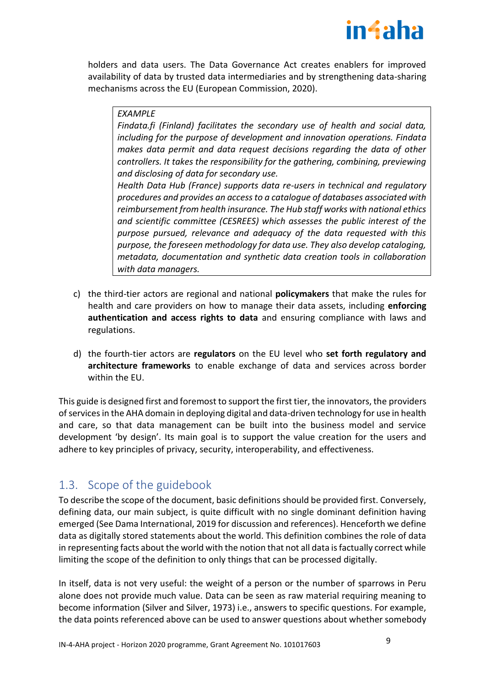

holders and data users. The Data Governance Act creates enablers for improved availability of data by trusted data intermediaries and by strengthening data-sharing mechanisms across the EU (European Commission, 2020).

## *EXAMPLE*

*Findata.fi (Finland) facilitates the secondary use of health and social data, including for the purpose of development and innovation operations. Findata makes data permit and data request decisions regarding the data of other controllers. It takes the responsibility for the gathering, combining, previewing and disclosing of data for secondary use.*

*Health Data Hub (France) supports data re-users in technical and regulatory procedures and provides an access to a catalogue of databases associated with reimbursement from health insurance. The Hub staff works with national ethics and scientific committee (CESREES) which assesses the public interest of the purpose pursued, relevance and adequacy of the data requested with this purpose, the foreseen methodology for data use. They also develop cataloging, metadata, documentation and synthetic data creation tools in collaboration with data managers.*

- c) the third-tier actors are regional and national **policymakers** that make the rules for health and care providers on how to manage their data assets, including **enforcing authentication and access rights to data** and ensuring compliance with laws and regulations.
- d) the fourth-tier actors are **regulators** on the EU level who **set forth regulatory and architecture frameworks** to enable exchange of data and services across border within the EU.

This guide is designed first and foremost to support the first tier, the innovators, the providers of services in the AHA domain in deploying digital and data-driven technology for use in health and care, so that data management can be built into the business model and service development 'by design'. Its main goal is to support the value creation for the users and adhere to key principles of privacy, security, interoperability, and effectiveness.

# <span id="page-8-0"></span>1.3. Scope of the guidebook

To describe the scope of the document, basic definitions should be provided first. Conversely, defining data, our main subject, is quite difficult with no single dominant definition having emerged (See Dama International, 2019 for discussion and references). Henceforth we define data as digitally stored statements about the world. This definition combines the role of data in representing facts about the world with the notion that not all data is factually correct while limiting the scope of the definition to only things that can be processed digitally.

In itself, data is not very useful: the weight of a person or the number of sparrows in Peru alone does not provide much value. Data can be seen as raw material requiring meaning to become information (Silver and Silver, 1973) i.e., answers to specific questions. For example, the data points referenced above can be used to answer questions about whether somebody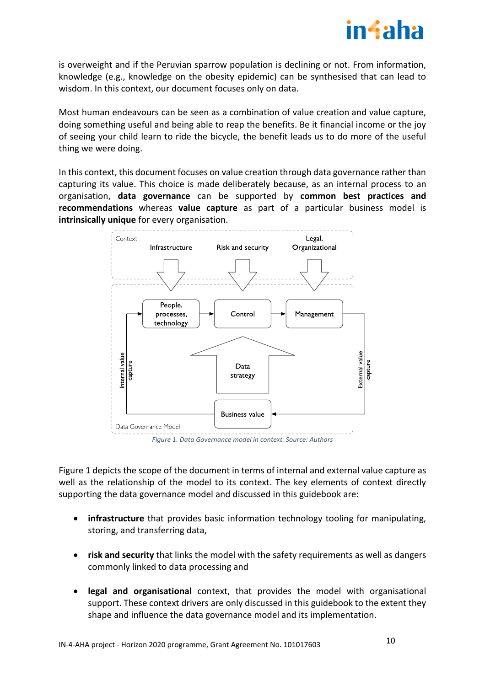

is overweight and if the Peruvian sparrow population is declining or not. From information, knowledge (e.g., knowledge on the obesity epidemic) can be synthesised that can lead to wisdom. In this context, our document focuses only on data.

Most human endeavours can be seen as a combination of value creation and value capture, doing something useful and being able to reap the benefits. Be it financial income or the joy of seeing your child learn to ride the bicycle, the benefit leads us to do more of the useful thing we were doing.

In this context, this document focuses on value creation through data governance rather than capturing its value. This choice is made deliberately because, as an internal process to an organisation, **data governance** can be supported by **common best practices and recommendations** whereas **value capture** as part of a particular business model is **intrinsically unique** for every organisation.



<span id="page-9-0"></span>[Figure 1](#page-9-0) depicts the scope of the document in terms of internal and external value capture as well as the relationship of the model to its context. The key elements of context directly supporting the data governance model and discussed in this guidebook are:

- **infrastructure** that provides basic information technology tooling for manipulating, storing, and transferring data,
- **risk and security** that links the model with the safety requirements as well as dangers commonly linked to data processing and
- **legal and organisational** context, that provides the model with organisational support. These context drivers are only discussed in this guidebook to the extent they shape and influence the data governance model and its implementation.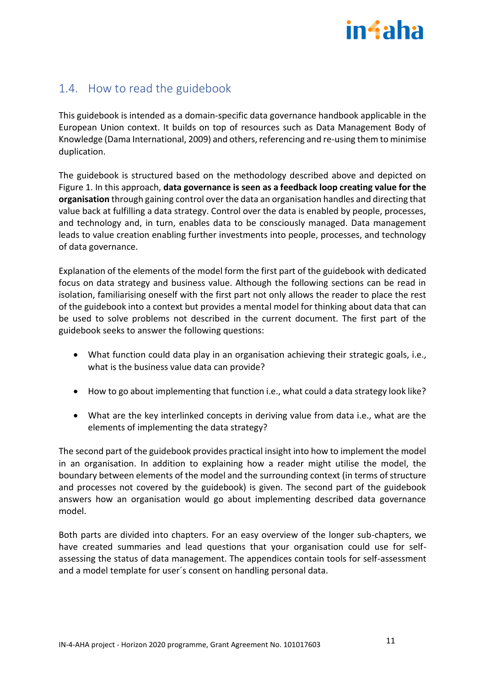

# <span id="page-10-0"></span>1.4. How to read the guidebook

This guidebook is intended as a domain-specific data governance handbook applicable in the European Union context. It builds on top of resources such as Data Management Body of Knowledge (Dama International, 2009) and others, referencing and re-using them to minimise duplication.

The guidebook is structured based on the methodology described above and depicted on [Figure 1.](#page-9-0) In this approach, **data governance is seen as a feedback loop creating value for the organisation** through gaining control over the data an organisation handles and directing that value back at fulfilling a data strategy. Control over the data is enabled by people, processes, and technology and, in turn, enables data to be consciously managed. Data management leads to value creation enabling further investments into people, processes, and technology of data governance.

Explanation of the elements of the model form the first part of the guidebook with dedicated focus on data strategy and business value. Although the following sections can be read in isolation, familiarising oneself with the first part not only allows the reader to place the rest of the guidebook into a context but provides a mental model for thinking about data that can be used to solve problems not described in the current document. The first part of the guidebook seeks to answer the following questions:

- What function could data play in an organisation achieving their strategic goals, i.e., what is the business value data can provide?
- How to go about implementing that function i.e., what could a data strategy look like?
- What are the key interlinked concepts in deriving value from data i.e., what are the elements of implementing the data strategy?

The second part of the guidebook provides practical insight into how to implement the model in an organisation. In addition to explaining how a reader might utilise the model, the boundary between elements of the model and the surrounding context (in terms of structure and processes not covered by the guidebook) is given. The second part of the guidebook answers how an organisation would go about implementing described data governance model.

Both parts are divided into chapters. For an easy overview of the longer sub-chapters, we have created summaries and lead questions that your organisation could use for selfassessing the status of data management. The appendices contain tools for self-assessment and a model template for user´s consent on handling personal data.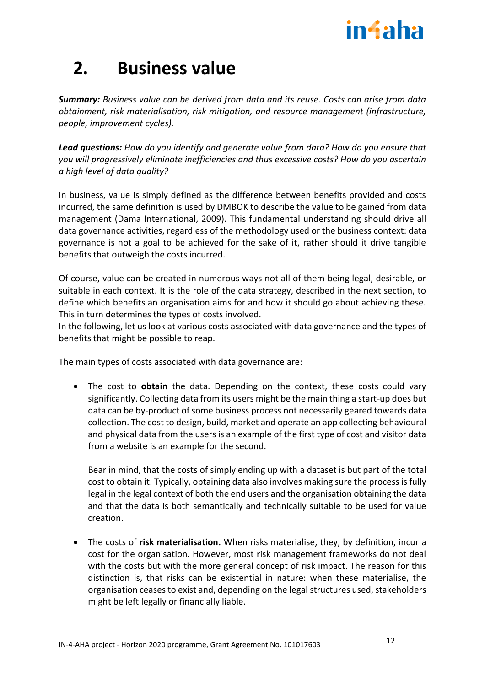

# <span id="page-11-0"></span>**2. Business value**

*Summary: Business value can be derived from data and its reuse. Costs can arise from data obtainment, risk materialisation, risk mitigation, and resource management (infrastructure, people, improvement cycles).*

*Lead questions: How do you identify and generate value from data? How do you ensure that you will progressively eliminate inefficiencies and thus excessive costs? How do you ascertain a high level of data quality?*

In business, value is simply defined as the difference between benefits provided and costs incurred, the same definition is used by DMBOK to describe the value to be gained from data management (Dama International, 2009). This fundamental understanding should drive all data governance activities, regardless of the methodology used or the business context: data governance is not a goal to be achieved for the sake of it, rather should it drive tangible benefits that outweigh the costs incurred.

Of course, value can be created in numerous ways not all of them being legal, desirable, or suitable in each context. It is the role of the data strategy, described in the next section, to define which benefits an organisation aims for and how it should go about achieving these. This in turn determines the types of costs involved.

In the following, let us look at various costs associated with data governance and the types of benefits that might be possible to reap.

The main types of costs associated with data governance are:

• The cost to **obtain** the data. Depending on the context, these costs could vary significantly. Collecting data from its users might be the main thing a start-up does but data can be by-product of some business process not necessarily geared towards data collection. The cost to design, build, market and operate an app collecting behavioural and physical data from the users is an example of the first type of cost and visitor data from a website is an example for the second.

Bear in mind, that the costs of simply ending up with a dataset is but part of the total cost to obtain it. Typically, obtaining data also involves making sure the process is fully legal in the legal context of both the end users and the organisation obtaining the data and that the data is both semantically and technically suitable to be used for value creation.

• The costs of **risk materialisation.** When risks materialise, they, by definition, incur a cost for the organisation. However, most risk management frameworks do not deal with the costs but with the more general concept of risk impact. The reason for this distinction is, that risks can be existential in nature: when these materialise, the organisation ceases to exist and, depending on the legal structures used, stakeholders might be left legally or financially liable.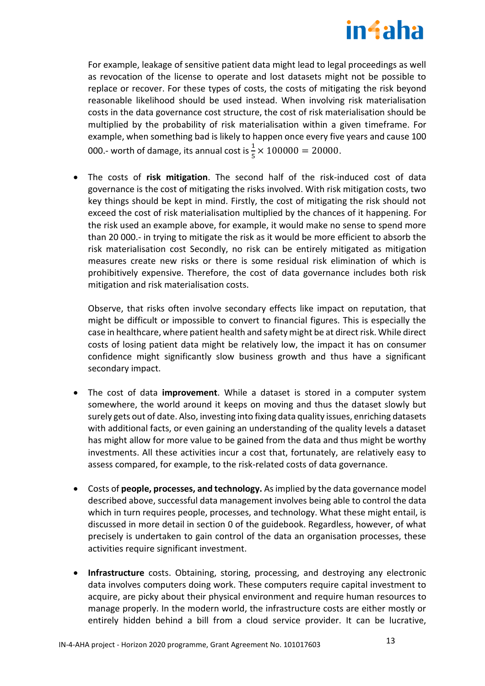

For example, leakage of sensitive patient data might lead to legal proceedings as well as revocation of the license to operate and lost datasets might not be possible to replace or recover. For these types of costs, the costs of mitigating the risk beyond reasonable likelihood should be used instead. When involving risk materialisation costs in the data governance cost structure, the cost of risk materialisation should be multiplied by the probability of risk materialisation within a given timeframe. For example, when something bad is likely to happen once every five years and cause 100 000.- worth of damage, its annual cost is  $\frac{1}{5} \times 100000 = 20000$ .

• The costs of **risk mitigation**. The second half of the risk-induced cost of data governance is the cost of mitigating the risks involved. With risk mitigation costs, two key things should be kept in mind. Firstly, the cost of mitigating the risk should not exceed the cost of risk materialisation multiplied by the chances of it happening. For the risk used an example above, for example, it would make no sense to spend more than 20 000.- in trying to mitigate the risk as it would be more efficient to absorb the risk materialisation cost Secondly, no risk can be entirely mitigated as mitigation measures create new risks or there is some residual risk elimination of which is prohibitively expensive. Therefore, the cost of data governance includes both risk mitigation and risk materialisation costs.

Observe, that risks often involve secondary effects like impact on reputation, that might be difficult or impossible to convert to financial figures. This is especially the case in healthcare, where patient health and safety might be at direct risk. While direct costs of losing patient data might be relatively low, the impact it has on consumer confidence might significantly slow business growth and thus have a significant secondary impact.

- The cost of data **improvement**. While a dataset is stored in a computer system somewhere, the world around it keeps on moving and thus the dataset slowly but surely gets out of date. Also, investing into fixing data quality issues, enriching datasets with additional facts, or even gaining an understanding of the quality levels a dataset has might allow for more value to be gained from the data and thus might be worthy investments. All these activities incur a cost that, fortunately, are relatively easy to assess compared, for example, to the risk-related costs of data governance.
- Costs of **people, processes, and technology.** As implied by the data governance model described above, successful data management involves being able to control the data which in turn requires people, processes, and technology. What these might entail, is discussed in more detail in section [0](#page-19-0) of the guidebook. Regardless, however, of what precisely is undertaken to gain control of the data an organisation processes, these activities require significant investment.
- **Infrastructure** costs. Obtaining, storing, processing, and destroying any electronic data involves computers doing work. These computers require capital investment to acquire, are picky about their physical environment and require human resources to manage properly. In the modern world, the infrastructure costs are either mostly or entirely hidden behind a bill from a cloud service provider. It can be lucrative,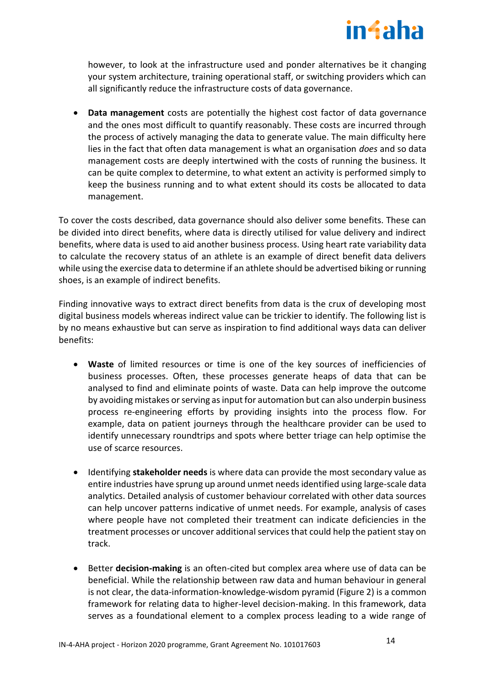

however, to look at the infrastructure used and ponder alternatives be it changing your system architecture, training operational staff, or switching providers which can all significantly reduce the infrastructure costs of data governance.

• **Data management** costs are potentially the highest cost factor of data governance and the ones most difficult to quantify reasonably. These costs are incurred through the process of actively managing the data to generate value. The main difficulty here lies in the fact that often data management is what an organisation *does* and so data management costs are deeply intertwined with the costs of running the business. It can be quite complex to determine, to what extent an activity is performed simply to keep the business running and to what extent should its costs be allocated to data management.

To cover the costs described, data governance should also deliver some benefits. These can be divided into direct benefits, where data is directly utilised for value delivery and indirect benefits, where data is used to aid another business process. Using heart rate variability data to calculate the recovery status of an athlete is an example of direct benefit data delivers while using the exercise data to determine if an athlete should be advertised biking or running shoes, is an example of indirect benefits.

Finding innovative ways to extract direct benefits from data is the crux of developing most digital business models whereas indirect value can be trickier to identify. The following list is by no means exhaustive but can serve as inspiration to find additional ways data can deliver benefits:

- **Waste** of limited resources or time is one of the key sources of inefficiencies of business processes. Often, these processes generate heaps of data that can be analysed to find and eliminate points of waste. Data can help improve the outcome by avoiding mistakes or serving as input for automation but can also underpin business process re-engineering efforts by providing insights into the process flow. For example, data on patient journeys through the healthcare provider can be used to identify unnecessary roundtrips and spots where better triage can help optimise the use of scarce resources.
- Identifying **stakeholder needs** is where data can provide the most secondary value as entire industries have sprung up around unmet needs identified using large-scale data analytics. Detailed analysis of customer behaviour correlated with other data sources can help uncover patterns indicative of unmet needs. For example, analysis of cases where people have not completed their treatment can indicate deficiencies in the treatment processes or uncover additional services that could help the patient stay on track.
- Better **decision-making** is an often-cited but complex area where use of data can be beneficial. While the relationship between raw data and human behaviour in general is not clear, the data-information-knowledge-wisdom pyramid [\(Figure 2\)](#page-14-0) is a common framework for relating data to higher-level decision-making. In this framework, data serves as a foundational element to a complex process leading to a wide range of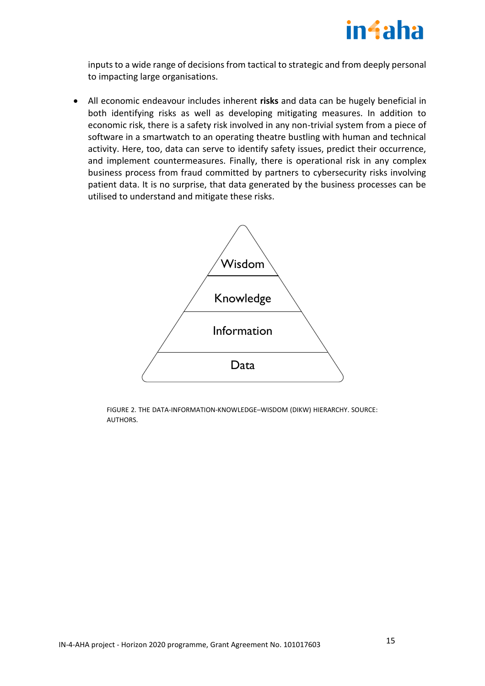

inputs to a wide range of decisions from tactical to strategic and from deeply personal to impacting large organisations.

• All economic endeavour includes inherent **risks** and data can be hugely beneficial in both identifying risks as well as developing mitigating measures. In addition to economic risk, there is a safety risk involved in any non-trivial system from a piece of software in a smartwatch to an operating theatre bustling with human and technical activity. Here, too, data can serve to identify safety issues, predict their occurrence, and implement countermeasures. Finally, there is operational risk in any complex business process from fraud committed by partners to cybersecurity risks involving patient data. It is no surprise, that data generated by the business processes can be utilised to understand and mitigate these risks.



<span id="page-14-0"></span>FIGURE 2. THE DATA-INFORMATION-KNOWLEDGE–WISDOM (DIKW) HIERARCHY. SOURCE: AUTHORS.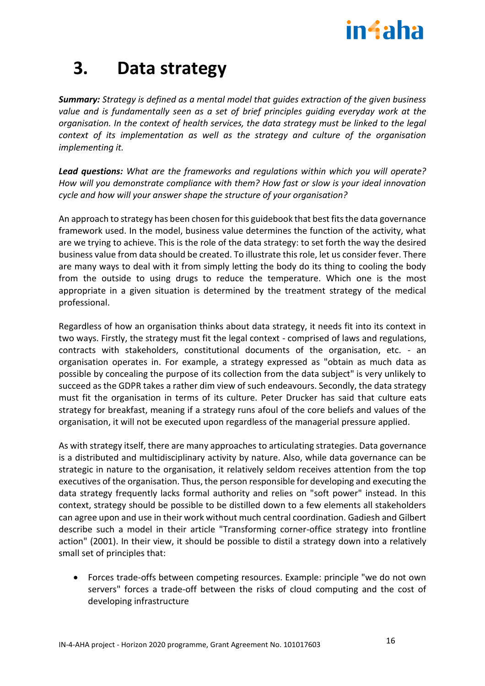

# <span id="page-15-0"></span>**3. Data strategy**

*Summary: Strategy is defined as a mental model that guides extraction of the given business value and is fundamentally seen as a set of brief principles guiding everyday work at the organisation. In the context of health services, the data strategy must be linked to the legal context of its implementation as well as the strategy and culture of the organisation implementing it.*

*Lead questions: What are the frameworks and regulations within which you will operate? How will you demonstrate compliance with them? How fast or slow is your ideal innovation cycle and how will your answer shape the structure of your organisation?*

An approach to strategy has been chosen for this guidebook that best fits the data governance framework used. In the model, business value determines the function of the activity, what are we trying to achieve. This is the role of the data strategy: to set forth the way the desired business value from data should be created. To illustrate this role, let us consider fever. There are many ways to deal with it from simply letting the body do its thing to cooling the body from the outside to using drugs to reduce the temperature. Which one is the most appropriate in a given situation is determined by the treatment strategy of the medical professional.

Regardless of how an organisation thinks about data strategy, it needs fit into its context in two ways. Firstly, the strategy must fit the legal context - comprised of laws and regulations, contracts with stakeholders, constitutional documents of the organisation, etc. - an organisation operates in. For example, a strategy expressed as "obtain as much data as possible by concealing the purpose of its collection from the data subject" is very unlikely to succeed as the GDPR takes a rather dim view of such endeavours. Secondly, the data strategy must fit the organisation in terms of its culture. Peter Drucker has said that culture eats strategy for breakfast, meaning if a strategy runs afoul of the core beliefs and values of the organisation, it will not be executed upon regardless of the managerial pressure applied.

As with strategy itself, there are many approaches to articulating strategies. Data governance is a distributed and multidisciplinary activity by nature. Also, while data governance can be strategic in nature to the organisation, it relatively seldom receives attention from the top executives of the organisation. Thus, the person responsible for developing and executing the data strategy frequently lacks formal authority and relies on "soft power" instead. In this context, strategy should be possible to be distilled down to a few elements all stakeholders can agree upon and use in their work without much central coordination. Gadiesh and Gilbert describe such a model in their article "Transforming corner-office strategy into frontline action" (2001). In their view, it should be possible to distil a strategy down into a relatively small set of principles that:

• Forces trade-offs between competing resources. Example: principle "we do not own servers" forces a trade-off between the risks of cloud computing and the cost of developing infrastructure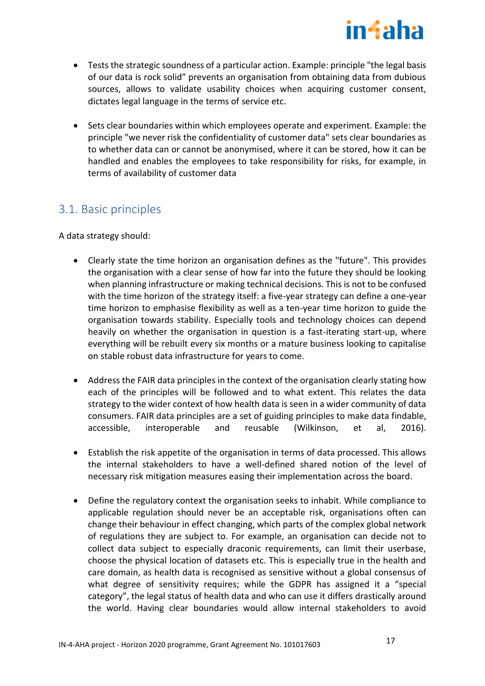

- Tests the strategic soundness of a particular action. Example: principle "the legal basis of our data is rock solid" prevents an organisation from obtaining data from dubious sources, allows to validate usability choices when acquiring customer consent, dictates legal language in the terms of service etc.
- Sets clear boundaries within which employees operate and experiment. Example: the principle "we never risk the confidentiality of customer data" sets clear boundaries as to whether data can or cannot be anonymised, where it can be stored, how it can be handled and enables the employees to take responsibility for risks, for example, in terms of availability of customer data

# <span id="page-16-0"></span>3.1. Basic principles

A data strategy should:

- Clearly state the time horizon an organisation defines as the "future". This provides the organisation with a clear sense of how far into the future they should be looking when planning infrastructure or making technical decisions. This is not to be confused with the time horizon of the strategy itself: a five-year strategy can define a one-year time horizon to emphasise flexibility as well as a ten-year time horizon to guide the organisation towards stability. Especially tools and technology choices can depend heavily on whether the organisation in question is a fast-iterating start-up, where everything will be rebuilt every six months or a mature business looking to capitalise on stable robust data infrastructure for years to come.
- Address the FAIR data principles in the context of the organisation clearly stating how each of the principles will be followed and to what extent. This relates the data strategy to the wider context of how health data is seen in a wider community of data consumers. FAIR data principles are a set of guiding principles to make data findable, accessible, interoperable and reusable (Wilkinson, et al, 2016).
- Establish the risk appetite of the organisation in terms of data processed. This allows the internal stakeholders to have a well-defined shared notion of the level of necessary risk mitigation measures easing their implementation across the board.
- Define the regulatory context the organisation seeks to inhabit. While compliance to applicable regulation should never be an acceptable risk, organisations often can change their behaviour in effect changing, which parts of the complex global network of regulations they are subject to. For example, an organisation can decide not to collect data subject to especially draconic requirements, can limit their userbase, choose the physical location of datasets etc. This is especially true in the health and care domain, as health data is recognised as sensitive without a global consensus of what degree of sensitivity requires; while the GDPR has assigned it a "special category", the legal status of health data and who can use it differs drastically around the world. Having clear boundaries would allow internal stakeholders to avoid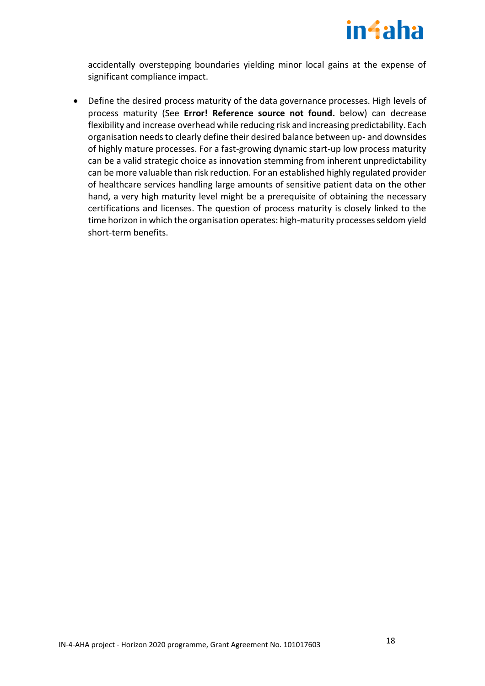

accidentally overstepping boundaries yielding minor local gains at the expense of significant compliance impact.

• Define the desired process maturity of the data governance processes. High levels of process maturity (See **Error! Reference source not found.** below) can decrease flexibility and increase overhead while reducing risk and increasing predictability. Each organisation needs to clearly define their desired balance between up- and downsides of highly mature processes. For a fast-growing dynamic start-up low process maturity can be a valid strategic choice as innovation stemming from inherent unpredictability can be more valuable than risk reduction. For an established highly regulated provider of healthcare services handling large amounts of sensitive patient data on the other hand, a very high maturity level might be a prerequisite of obtaining the necessary certifications and licenses. The question of process maturity is closely linked to the time horizon in which the organisation operates: high-maturity processes seldom yield short-term benefits.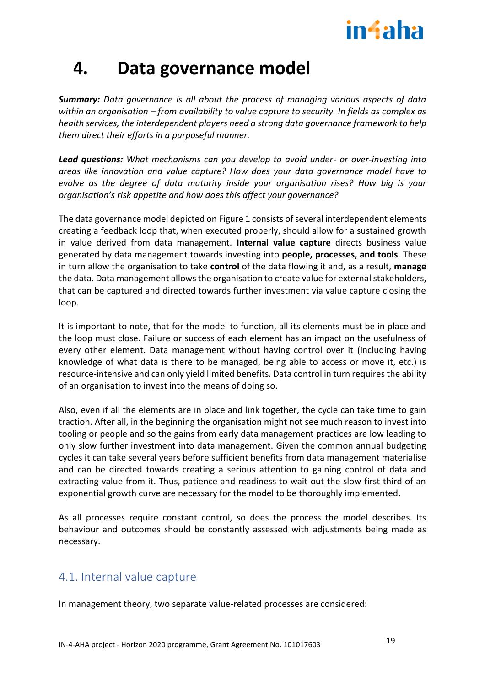

# <span id="page-18-0"></span>**4. Data governance model**

*Summary: Data governance is all about the process of managing various aspects of data within an organisation – from availability to value capture to security. In fields as complex as health services, the interdependent players need a strong data governance framework to help them direct their efforts in a purposeful manner.* 

*Lead questions: What mechanisms can you develop to avoid under- or over-investing into areas like innovation and value capture? How does your data governance model have to evolve as the degree of data maturity inside your organisation rises? How big is your organisation's risk appetite and how does this affect your governance?* 

The data governance model depicted o[n Figure 1](#page-9-0) consists of several interdependent elements creating a feedback loop that, when executed properly, should allow for a sustained growth in value derived from data management. **Internal value capture** directs business value generated by data management towards investing into **people, processes, and tools**. These in turn allow the organisation to take **control** of the data flowing it and, as a result, **manage** the data. Data management allows the organisation to create value for external stakeholders, that can be captured and directed towards further investment via value capture closing the loop.

It is important to note, that for the model to function, all its elements must be in place and the loop must close. Failure or success of each element has an impact on the usefulness of every other element. Data management without having control over it (including having knowledge of what data is there to be managed, being able to access or move it, etc.) is resource-intensive and can only yield limited benefits. Data control in turn requires the ability of an organisation to invest into the means of doing so.

Also, even if all the elements are in place and link together, the cycle can take time to gain traction. After all, in the beginning the organisation might not see much reason to invest into tooling or people and so the gains from early data management practices are low leading to only slow further investment into data management. Given the common annual budgeting cycles it can take several years before sufficient benefits from data management materialise and can be directed towards creating a serious attention to gaining control of data and extracting value from it. Thus, patience and readiness to wait out the slow first third of an exponential growth curve are necessary for the model to be thoroughly implemented.

As all processes require constant control, so does the process the model describes. Its behaviour and outcomes should be constantly assessed with adjustments being made as necessary.

# <span id="page-18-1"></span>4.1. Internal value capture

In management theory, two separate value-related processes are considered: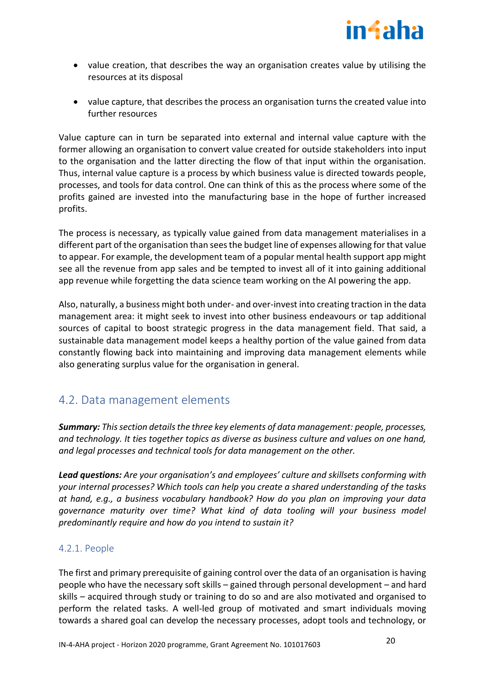

- value creation, that describes the way an organisation creates value by utilising the resources at its disposal
- value capture, that describes the process an organisation turns the created value into further resources

Value capture can in turn be separated into external and internal value capture with the former allowing an organisation to convert value created for outside stakeholders into input to the organisation and the latter directing the flow of that input within the organisation. Thus, internal value capture is a process by which business value is directed towards people, processes, and tools for data control. One can think of this as the process where some of the profits gained are invested into the manufacturing base in the hope of further increased profits.

The process is necessary, as typically value gained from data management materialises in a different part of the organisation than sees the budget line of expenses allowing for that value to appear. For example, the development team of a popular mental health support app might see all the revenue from app sales and be tempted to invest all of it into gaining additional app revenue while forgetting the data science team working on the AI powering the app.

Also, naturally, a business might both under- and over-invest into creating traction in the data management area: it might seek to invest into other business endeavours or tap additional sources of capital to boost strategic progress in the data management field. That said, a sustainable data management model keeps a healthy portion of the value gained from data constantly flowing back into maintaining and improving data management elements while also generating surplus value for the organisation in general.

# <span id="page-19-0"></span>4.2. Data management elements

*Summary: This section details the three key elements of data management: people, processes, and technology. It ties together topics as diverse as business culture and values on one hand, and legal processes and technical tools for data management on the other.* 

*Lead questions: Are your organisation's and employees' culture and skillsets conforming with your internal processes? Which tools can help you create a shared understanding of the tasks at hand, e.g., a business vocabulary handbook? How do you plan on improving your data governance maturity over time? What kind of data tooling will your business model predominantly require and how do you intend to sustain it?*

# <span id="page-19-1"></span>4.2.1. People

The first and primary prerequisite of gaining control over the data of an organisation is having people who have the necessary soft skills – gained through personal development – and hard skills – acquired through study or training to do so and are also motivated and organised to perform the related tasks. A well-led group of motivated and smart individuals moving towards a shared goal can develop the necessary processes, adopt tools and technology, or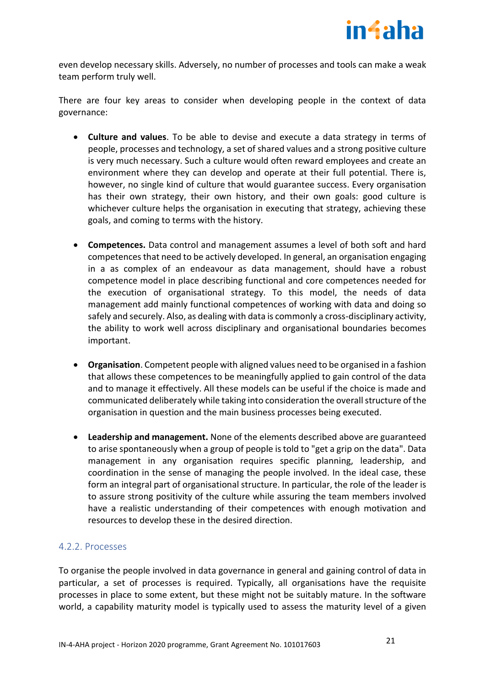

even develop necessary skills. Adversely, no number of processes and tools can make a weak team perform truly well.

There are four key areas to consider when developing people in the context of data governance:

- **Culture and values**. To be able to devise and execute a data strategy in terms of people, processes and technology, a set of shared values and a strong positive culture is very much necessary. Such a culture would often reward employees and create an environment where they can develop and operate at their full potential. There is, however, no single kind of culture that would guarantee success. Every organisation has their own strategy, their own history, and their own goals: good culture is whichever culture helps the organisation in executing that strategy, achieving these goals, and coming to terms with the history.
- **Competences.** Data control and management assumes a level of both soft and hard competences that need to be actively developed. In general, an organisation engaging in a as complex of an endeavour as data management, should have a robust competence model in place describing functional and core competences needed for the execution of organisational strategy. To this model, the needs of data management add mainly functional competences of working with data and doing so safely and securely. Also, as dealing with data is commonly a cross-disciplinary activity, the ability to work well across disciplinary and organisational boundaries becomes important.
- **Organisation**. Competent people with aligned values need to be organised in a fashion that allows these competences to be meaningfully applied to gain control of the data and to manage it effectively. All these models can be useful if the choice is made and communicated deliberately while taking into consideration the overall structure of the organisation in question and the main business processes being executed.
- **Leadership and management.** None of the elements described above are guaranteed to arise spontaneously when a group of people is told to "get a grip on the data". Data management in any organisation requires specific planning, leadership, and coordination in the sense of managing the people involved. In the ideal case, these form an integral part of organisational structure. In particular, the role of the leader is to assure strong positivity of the culture while assuring the team members involved have a realistic understanding of their competences with enough motivation and resources to develop these in the desired direction.

## <span id="page-20-0"></span>4.2.2. Processes

To organise the people involved in data governance in general and gaining control of data in particular, a set of processes is required. Typically, all organisations have the requisite processes in place to some extent, but these might not be suitably mature. In the software world, a capability maturity model is typically used to assess the maturity level of a given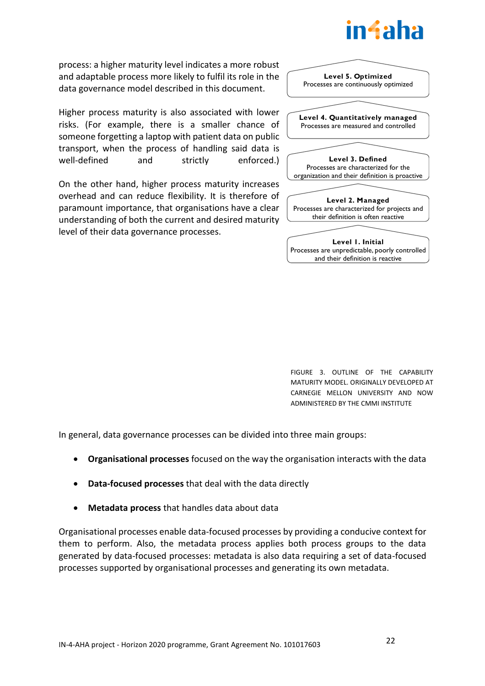

process: a higher maturity level indicates a more robust and adaptable process more likely to fulfil its role in the data governance model described in this document.

Higher process maturity is also associated with lower risks. (For example, there is a smaller chance of someone forgetting a laptop with patient data on public transport, when the process of handling said data is well-defined and strictly enforced.)

On the other hand, higher process maturity increases overhead and can reduce flexibility. It is therefore of paramount importance, that organisations have a clear understanding of both the current and desired maturity level of their data governance processes.



FIGURE 3. OUTLINE OF THE CAPABILITY MATURITY MODEL. ORIGINALLY DEVELOPED AT CARNEGIE MELLON UNIVERSITY AND NOW ADMINISTERED BY THE CMMI INSTITUTE

In general, data governance processes can be divided into three main groups:

- **Organisational processes** focused on the way the organisation interacts with the data
- **Data-focused processes** that deal with the data directly
- **Metadata process** that handles data about data

Organisational processes enable data-focused processes by providing a conducive context for them to perform. Also, the metadata process applies both process groups to the data generated by data-focused processes: metadata is also data requiring a set of data-focused processes supported by organisational processes and generating its own metadata.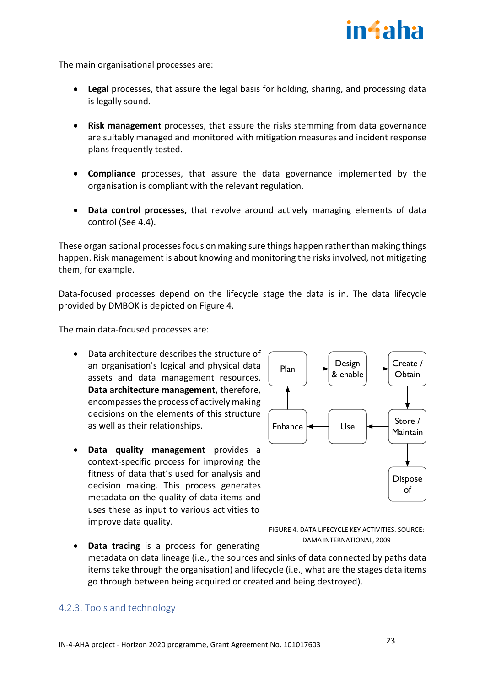

The main organisational processes are:

- **Legal** processes, that assure the legal basis for holding, sharing, and processing data is legally sound.
- **Risk management** processes, that assure the risks stemming from data governance are suitably managed and monitored with mitigation measures and incident response plans frequently tested.
- **Compliance** processes, that assure the data governance implemented by the organisation is compliant with the relevant regulation.
- **Data control processes,** that revolve around actively managing elements of data control (See 4.4).

These organisational processes focus on making sure things happen rather than making things happen. Risk management is about knowing and monitoring the risks involved, not mitigating them, for example.

Data-focused processes depend on the lifecycle stage the data is in. The data lifecycle provided by DMBOK is depicted on [Figure 4.](#page-22-1)

The main data-focused processes are:

- Data architecture describes the structure of an organisation's logical and physical data assets and data management resources. **Data architecture management**, therefore, encompasses the process of actively making decisions on the elements of this structure as well as their relationships.
- **Data quality management** provides a context-specific process for improving the fitness of data that's used for analysis and decision making. This process generates metadata on the quality of data items and uses these as input to various activities to improve data quality.



<span id="page-22-1"></span>

**Data tracing** is a process for generating metadata on data lineage (i.e., the sources and sinks of data connected by paths data items take through the organisation) and lifecycle (i.e., what are the stages data items go through between being acquired or created and being destroyed).

# <span id="page-22-0"></span>4.2.3. Tools and technology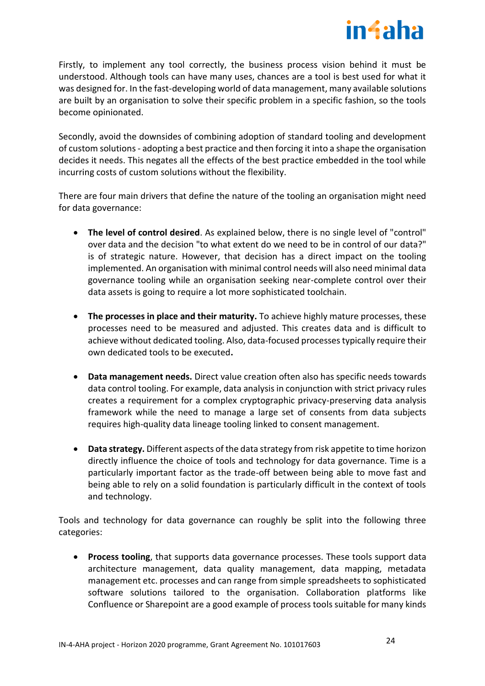

Firstly, to implement any tool correctly, the business process vision behind it must be understood. Although tools can have many uses, chances are a tool is best used for what it was designed for. In the fast-developing world of data management, many available solutions are built by an organisation to solve their specific problem in a specific fashion, so the tools become opinionated.

Secondly, avoid the downsides of combining adoption of standard tooling and development of custom solutions - adopting a best practice and then forcing it into a shape the organisation decides it needs. This negates all the effects of the best practice embedded in the tool while incurring costs of custom solutions without the flexibility.

There are four main drivers that define the nature of the tooling an organisation might need for data governance:

- **The level of control desired**. As explained below, there is no single level of "control" over data and the decision "to what extent do we need to be in control of our data?" is of strategic nature. However, that decision has a direct impact on the tooling implemented. An organisation with minimal control needs will also need minimal data governance tooling while an organisation seeking near-complete control over their data assets is going to require a lot more sophisticated toolchain.
- **The processes in place and their maturity.** To achieve highly mature processes, these processes need to be measured and adjusted. This creates data and is difficult to achieve without dedicated tooling. Also, data-focused processes typically require their own dedicated tools to be executed**.**
- **Data management needs.** Direct value creation often also has specific needs towards data control tooling. For example, data analysis in conjunction with strict privacy rules creates a requirement for a complex cryptographic privacy-preserving data analysis framework while the need to manage a large set of consents from data subjects requires high-quality data lineage tooling linked to consent management.
- **Data strategy.** Different aspects of the data strategy from risk appetite to time horizon directly influence the choice of tools and technology for data governance. Time is a particularly important factor as the trade-off between being able to move fast and being able to rely on a solid foundation is particularly difficult in the context of tools and technology.

Tools and technology for data governance can roughly be split into the following three categories:

• **Process tooling**, that supports data governance processes. These tools support data architecture management, data quality management, data mapping, metadata management etc. processes and can range from simple spreadsheets to sophisticated software solutions tailored to the organisation. Collaboration platforms like Confluence or Sharepoint are a good example of process tools suitable for many kinds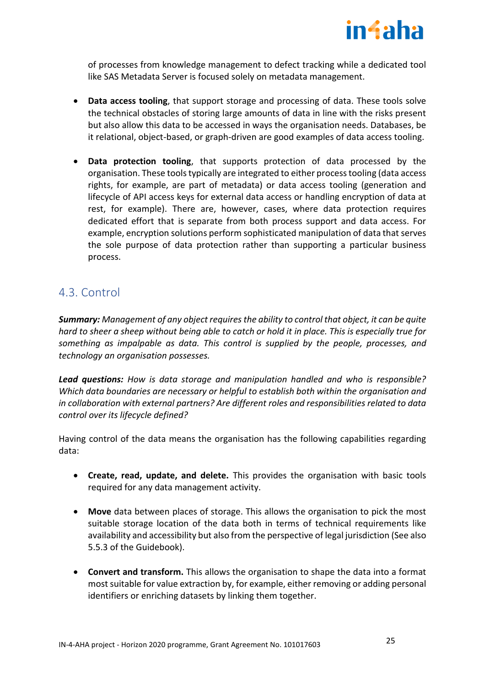

of processes from knowledge management to defect tracking while a dedicated tool like SAS Metadata Server is focused solely on metadata management.

- **Data access tooling**, that support storage and processing of data. These tools solve the technical obstacles of storing large amounts of data in line with the risks present but also allow this data to be accessed in ways the organisation needs. Databases, be it relational, object-based, or graph-driven are good examples of data access tooling.
- **Data protection tooling**, that supports protection of data processed by the organisation. These tools typically are integrated to either process tooling (data access rights, for example, are part of metadata) or data access tooling (generation and lifecycle of API access keys for external data access or handling encryption of data at rest, for example). There are, however, cases, where data protection requires dedicated effort that is separate from both process support and data access. For example, encryption solutions perform sophisticated manipulation of data that serves the sole purpose of data protection rather than supporting a particular business process.

# <span id="page-24-0"></span>4.3. Control

*Summary: Management of any object requires the ability to control that object, it can be quite hard to sheer a sheep without being able to catch or hold it in place. This is especially true for something as impalpable as data. This control is supplied by the people, processes, and technology an organisation possesses.*

*Lead questions: How is data storage and manipulation handled and who is responsible? Which data boundaries are necessary or helpful to establish both within the organisation and in collaboration with external partners? Are different roles and responsibilities related to data control over its lifecycle defined?*

Having control of the data means the organisation has the following capabilities regarding data:

- **Create, read, update, and delete.** This provides the organisation with basic tools required for any data management activity.
- **Move** data between places of storage. This allows the organisation to pick the most suitable storage location of the data both in terms of technical requirements like availability and accessibility but also from the perspective of legal jurisdiction (See also 5.5.3 of the Guidebook).
- **Convert and transform.** This allows the organisation to shape the data into a format most suitable for value extraction by, for example, either removing or adding personal identifiers or enriching datasets by linking them together.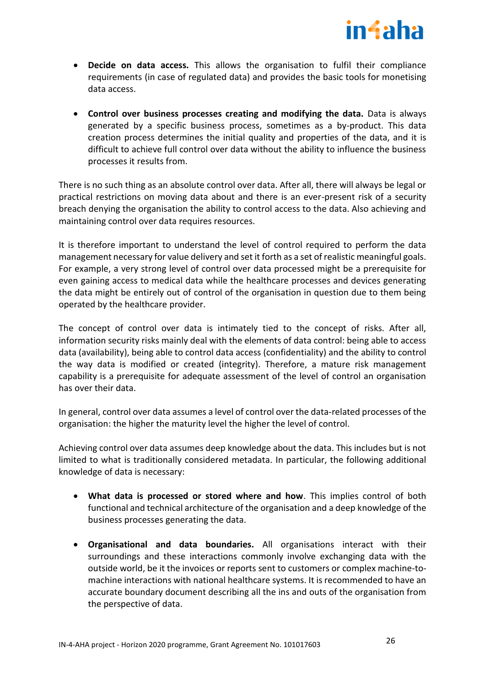

- **Decide on data access.** This allows the organisation to fulfil their compliance requirements (in case of regulated data) and provides the basic tools for monetising data access.
- **Control over business processes creating and modifying the data.** Data is always generated by a specific business process, sometimes as a by-product. This data creation process determines the initial quality and properties of the data, and it is difficult to achieve full control over data without the ability to influence the business processes it results from.

There is no such thing as an absolute control over data. After all, there will always be legal or practical restrictions on moving data about and there is an ever-present risk of a security breach denying the organisation the ability to control access to the data. Also achieving and maintaining control over data requires resources.

It is therefore important to understand the level of control required to perform the data management necessary for value delivery and set it forth as a set of realistic meaningful goals. For example, a very strong level of control over data processed might be a prerequisite for even gaining access to medical data while the healthcare processes and devices generating the data might be entirely out of control of the organisation in question due to them being operated by the healthcare provider.

The concept of control over data is intimately tied to the concept of risks. After all, information security risks mainly deal with the elements of data control: being able to access data (availability), being able to control data access (confidentiality) and the ability to control the way data is modified or created (integrity). Therefore, a mature risk management capability is a prerequisite for adequate assessment of the level of control an organisation has over their data.

In general, control over data assumes a level of control over the data-related processes of the organisation: the higher the maturity level the higher the level of control.

Achieving control over data assumes deep knowledge about the data. This includes but is not limited to what is traditionally considered metadata. In particular, the following additional knowledge of data is necessary:

- **What data is processed or stored where and how**. This implies control of both functional and technical architecture of the organisation and a deep knowledge of the business processes generating the data.
- **Organisational and data boundaries.** All organisations interact with their surroundings and these interactions commonly involve exchanging data with the outside world, be it the invoices or reports sent to customers or complex machine-tomachine interactions with national healthcare systems. It is recommended to have an accurate boundary document describing all the ins and outs of the organisation from the perspective of data.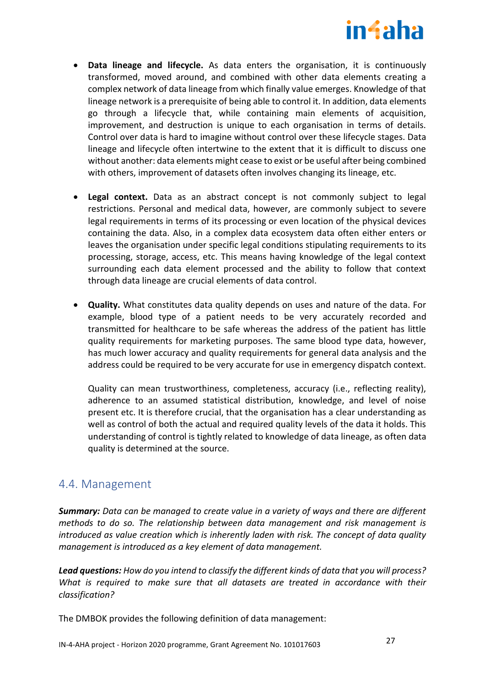

- **Data lineage and lifecycle.** As data enters the organisation, it is continuously transformed, moved around, and combined with other data elements creating a complex network of data lineage from which finally value emerges. Knowledge of that lineage network is a prerequisite of being able to control it. In addition, data elements go through a lifecycle that, while containing main elements of acquisition, improvement, and destruction is unique to each organisation in terms of details. Control over data is hard to imagine without control over these lifecycle stages. Data lineage and lifecycle often intertwine to the extent that it is difficult to discuss one without another: data elements might cease to exist or be useful after being combined with others, improvement of datasets often involves changing its lineage, etc.
- **Legal context.** Data as an abstract concept is not commonly subject to legal restrictions. Personal and medical data, however, are commonly subject to severe legal requirements in terms of its processing or even location of the physical devices containing the data. Also, in a complex data ecosystem data often either enters or leaves the organisation under specific legal conditions stipulating requirements to its processing, storage, access, etc. This means having knowledge of the legal context surrounding each data element processed and the ability to follow that context through data lineage are crucial elements of data control.
- **Quality.** What constitutes data quality depends on uses and nature of the data. For example, blood type of a patient needs to be very accurately recorded and transmitted for healthcare to be safe whereas the address of the patient has little quality requirements for marketing purposes. The same blood type data, however, has much lower accuracy and quality requirements for general data analysis and the address could be required to be very accurate for use in emergency dispatch context.

Quality can mean trustworthiness, completeness, accuracy (i.e., reflecting reality), adherence to an assumed statistical distribution, knowledge, and level of noise present etc. It is therefore crucial, that the organisation has a clear understanding as well as control of both the actual and required quality levels of the data it holds. This understanding of control is tightly related to knowledge of data lineage, as often data quality is determined at the source.

# <span id="page-26-0"></span>4.4. Management

*Summary: Data can be managed to create value in a variety of ways and there are different methods to do so. The relationship between data management and risk management is introduced as value creation which is inherently laden with risk. The concept of data quality management is introduced as a key element of data management.*

*Lead questions: How do you intend to classify the different kinds of data that you will process? What is required to make sure that all datasets are treated in accordance with their classification?*

The DMBOK provides the following definition of data management: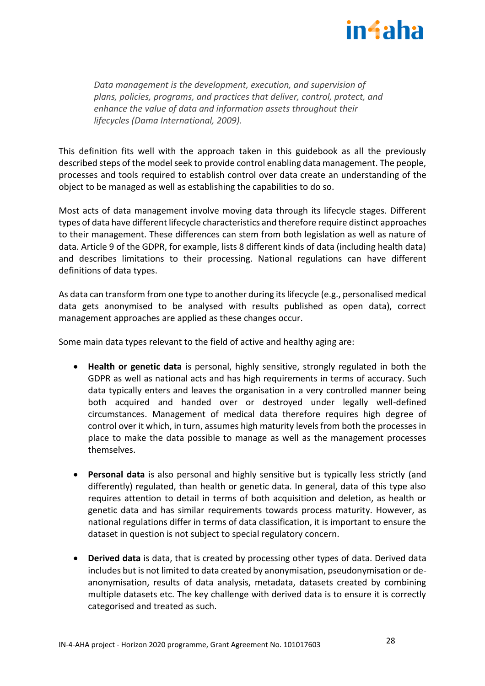

*Data management is the development, execution, and supervision of plans, policies, programs, and practices that deliver, control, protect, and enhance the value of data and information assets throughout their lifecycles (Dama International, 2009).* 

This definition fits well with the approach taken in this guidebook as all the previously described steps of the model seek to provide control enabling data management. The people, processes and tools required to establish control over data create an understanding of the object to be managed as well as establishing the capabilities to do so.

Most acts of data management involve moving data through its lifecycle stages. Different types of data have different lifecycle characteristics and therefore require distinct approaches to their management. These differences can stem from both legislation as well as nature of data. Article 9 of the GDPR, for example, lists 8 different kinds of data (including health data) and describes limitations to their processing. National regulations can have different definitions of data types.

As data can transform from one type to another during its lifecycle (e.g., personalised medical data gets anonymised to be analysed with results published as open data), correct management approaches are applied as these changes occur.

Some main data types relevant to the field of active and healthy aging are:

- **Health or genetic data** is personal, highly sensitive, strongly regulated in both the GDPR as well as national acts and has high requirements in terms of accuracy. Such data typically enters and leaves the organisation in a very controlled manner being both acquired and handed over or destroyed under legally well-defined circumstances. Management of medical data therefore requires high degree of control over it which, in turn, assumes high maturity levels from both the processes in place to make the data possible to manage as well as the management processes themselves.
- **Personal data** is also personal and highly sensitive but is typically less strictly (and differently) regulated, than health or genetic data. In general, data of this type also requires attention to detail in terms of both acquisition and deletion, as health or genetic data and has similar requirements towards process maturity. However, as national regulations differ in terms of data classification, it is important to ensure the dataset in question is not subject to special regulatory concern.
- **Derived data** is data, that is created by processing other types of data. Derived data includes but is not limited to data created by anonymisation, pseudonymisation or deanonymisation, results of data analysis, metadata, datasets created by combining multiple datasets etc. The key challenge with derived data is to ensure it is correctly categorised and treated as such.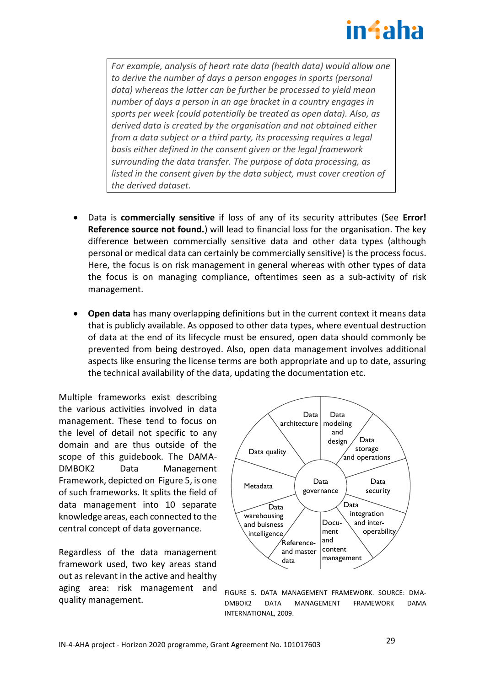# in4aha

*For example, analysis of heart rate data (health data) would allow one to derive the number of days a person engages in sports (personal data) whereas the latter can be further be processed to yield mean number of days a person in an age bracket in a country engages in sports per week (could potentially be treated as open data). Also, as derived data is created by the organisation and not obtained either from a data subject or a third party, its processing requires a legal basis either defined in the consent given or the legal framework surrounding the data transfer. The purpose of data processing, as listed in the consent given by the data subject, must cover creation of the derived dataset.*

- Data is **commercially sensitive** if loss of any of its security attributes (See **Error! Reference source not found.**) will lead to financial loss for the organisation. The key difference between commercially sensitive data and other data types (although personal or medical data can certainly be commercially sensitive) is the process focus. Here, the focus is on risk management in general whereas with other types of data the focus is on managing compliance, oftentimes seen as a sub-activity of risk management.
- **Open data** has many overlapping definitions but in the current context it means data that is publicly available. As opposed to other data types, where eventual destruction of data at the end of its lifecycle must be ensured, open data should commonly be prevented from being destroyed. Also, open data management involves additional aspects like ensuring the license terms are both appropriate and up to date, assuring the technical availability of the data, updating the documentation etc.

Multiple frameworks exist describing the various activities involved in data management. These tend to focus on the level of detail not specific to any domain and are thus outside of the scope of this guidebook. The DAMA-DMBOK2 Data Management Framework, depicted on [Figure 5,](#page-28-0) is one of such frameworks. It splits the field of data management into 10 separate knowledge areas, each connected to the central concept of data governance.

Regardless of the data management framework used, two key areas stand out as relevant in the active and healthy aging area: risk management and quality management.



<span id="page-28-0"></span>FIGURE 5. DATA MANAGEMENT FRAMEWORK. SOURCE: DMA-DMBOK2 DATA MANAGEMENT FRAMEWORK DAMA INTERNATIONAL, 2009.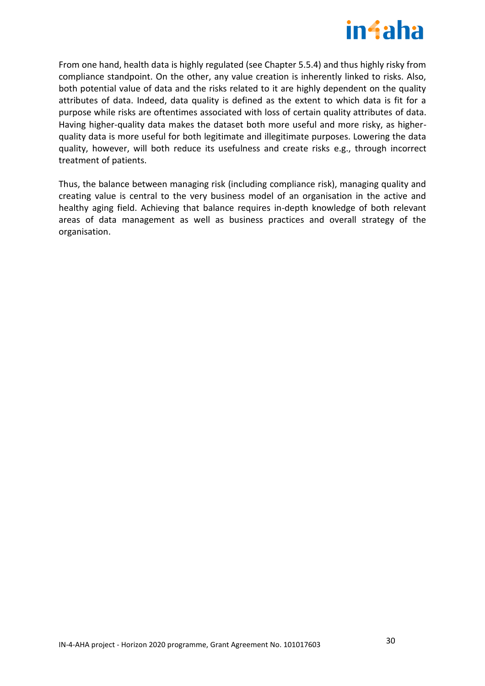

From one hand, health data is highly regulated (see Chapter 5.5.4) and thus highly risky from compliance standpoint. On the other, any value creation is inherently linked to risks. Also, both potential value of data and the risks related to it are highly dependent on the quality attributes of data. Indeed, data quality is defined as the extent to which data is fit for a purpose while risks are oftentimes associated with loss of certain quality attributes of data. Having higher-quality data makes the dataset both more useful and more risky, as higherquality data is more useful for both legitimate and illegitimate purposes. Lowering the data quality, however, will both reduce its usefulness and create risks e.g., through incorrect treatment of patients.

Thus, the balance between managing risk (including compliance risk), managing quality and creating value is central to the very business model of an organisation in the active and healthy aging field. Achieving that balance requires in-depth knowledge of both relevant areas of data management as well as business practices and overall strategy of the organisation.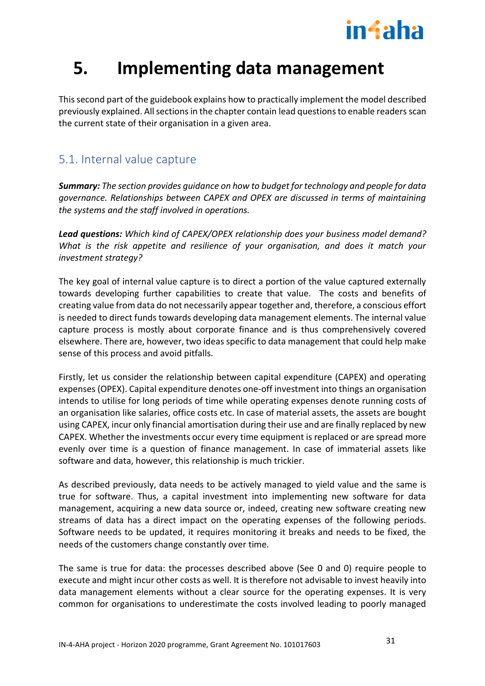

# <span id="page-30-0"></span>**5. Implementing data management**

This second part of the guidebook explains how to practically implement the model described previously explained. All sections in the chapter contain lead questions to enable readers scan the current state of their organisation in a given area.

# <span id="page-30-1"></span>5.1. Internal value capture

*Summary: The section provides guidance on how to budget for technology and people for data governance. Relationships between CAPEX and OPEX are discussed in terms of maintaining the systems and the staff involved in operations.*

*Lead questions: Which kind of CAPEX/OPEX relationship does your business model demand? What is the risk appetite and resilience of your organisation, and does it match your investment strategy?*

The key goal of internal value capture is to direct a portion of the value captured externally towards developing further capabilities to create that value. The costs and benefits of creating value from data do not necessarily appear together and, therefore, a conscious effort is needed to direct funds towards developing data management elements. The internal value capture process is mostly about corporate finance and is thus comprehensively covered elsewhere. There are, however, two ideas specific to data management that could help make sense of this process and avoid pitfalls.

Firstly, let us consider the relationship between capital expenditure (CAPEX) and operating expenses (OPEX). Capital expenditure denotes one-off investment into things an organisation intends to utilise for long periods of time while operating expenses denote running costs of an organisation like salaries, office costs etc. In case of material assets, the assets are bought using CAPEX, incur only financial amortisation during their use and are finally replaced by new CAPEX. Whether the investments occur every time equipment is replaced or are spread more evenly over time is a question of finance management. In case of immaterial assets like software and data, however, this relationship is much trickier.

As described previously, data needs to be actively managed to yield value and the same is true for software. Thus, a capital investment into implementing new software for data management, acquiring a new data source or, indeed, creating new software creating new streams of data has a direct impact on the operating expenses of the following periods. Software needs to be updated, it requires monitoring it breaks and needs to be fixed, the needs of the customers change constantly over time.

The same is true for data: the processes described above (See [0](#page-20-0) and [0\)](#page-26-0) require people to execute and might incur other costs as well. It is therefore not advisable to invest heavily into data management elements without a clear source for the operating expenses. It is very common for organisations to underestimate the costs involved leading to poorly managed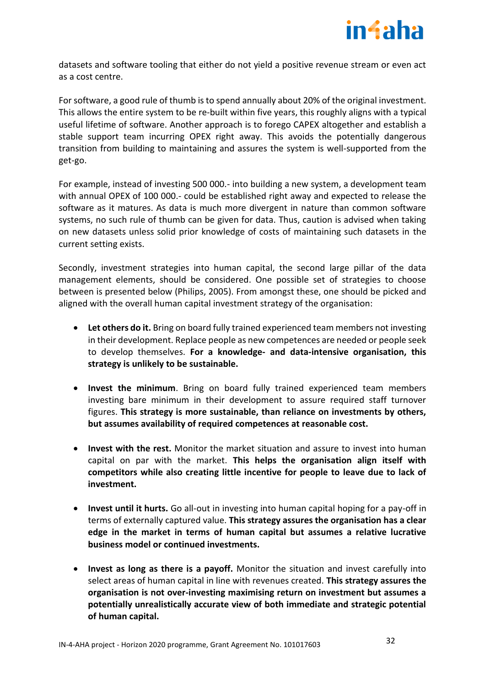

datasets and software tooling that either do not yield a positive revenue stream or even act as a cost centre.

For software, a good rule of thumb is to spend annually about 20% of the original investment. This allows the entire system to be re-built within five years, this roughly aligns with a typical useful lifetime of software. Another approach is to forego CAPEX altogether and establish a stable support team incurring OPEX right away. This avoids the potentially dangerous transition from building to maintaining and assures the system is well-supported from the get-go.

For example, instead of investing 500 000.- into building a new system, a development team with annual OPEX of 100 000.- could be established right away and expected to release the software as it matures. As data is much more divergent in nature than common software systems, no such rule of thumb can be given for data. Thus, caution is advised when taking on new datasets unless solid prior knowledge of costs of maintaining such datasets in the current setting exists.

Secondly, investment strategies into human capital, the second large pillar of the data management elements, should be considered. One possible set of strategies to choose between is presented below (Philips, 2005). From amongst these, one should be picked and aligned with the overall human capital investment strategy of the organisation:

- **Let others do it.** Bring on board fully trained experienced team members not investing in their development. Replace people as new competences are needed or people seek to develop themselves. **For a knowledge- and data-intensive organisation, this strategy is unlikely to be sustainable.**
- **Invest the minimum**. Bring on board fully trained experienced team members investing bare minimum in their development to assure required staff turnover figures. **This strategy is more sustainable, than reliance on investments by others, but assumes availability of required competences at reasonable cost.**
- **Invest with the rest.** Monitor the market situation and assure to invest into human capital on par with the market. **This helps the organisation align itself with competitors while also creating little incentive for people to leave due to lack of investment.**
- **Invest until it hurts.** Go all-out in investing into human capital hoping for a pay-off in terms of externally captured value. **This strategy assures the organisation has a clear edge in the market in terms of human capital but assumes a relative lucrative business model or continued investments.**
- **Invest as long as there is a payoff.** Monitor the situation and invest carefully into select areas of human capital in line with revenues created. **This strategy assures the organisation is not over-investing maximising return on investment but assumes a potentially unrealistically accurate view of both immediate and strategic potential of human capital.**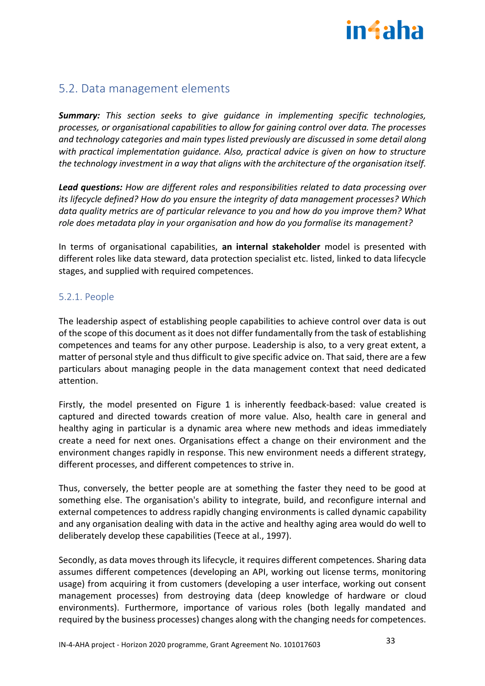

# <span id="page-32-0"></span>5.2. Data management elements

*Summary: This section seeks to give guidance in implementing specific technologies, processes, or organisational capabilities to allow for gaining control over data. The processes and technology categories and main types listed previously are discussed in some detail along with practical implementation guidance. Also, practical advice is given on how to structure the technology investment in a way that aligns with the architecture of the organisation itself.* 

*Lead questions: How are different roles and responsibilities related to data processing over its lifecycle defined? How do you ensure the integrity of data management processes? Which data quality metrics are of particular relevance to you and how do you improve them? What role does metadata play in your organisation and how do you formalise its management?*

In terms of organisational capabilities, **an internal stakeholder** model is presented with different roles like data steward, data protection specialist etc. listed, linked to data lifecycle stages, and supplied with required competences.

# <span id="page-32-1"></span>5.2.1. People

The leadership aspect of establishing people capabilities to achieve control over data is out of the scope of this document as it does not differ fundamentally from the task of establishing competences and teams for any other purpose. Leadership is also, to a very great extent, a matter of personal style and thus difficult to give specific advice on. That said, there are a few particulars about managing people in the data management context that need dedicated attention.

Firstly, the model presented on [Figure 1](#page-9-0) is inherently feedback-based: value created is captured and directed towards creation of more value. Also, health care in general and healthy aging in particular is a dynamic area where new methods and ideas immediately create a need for next ones. Organisations effect a change on their environment and the environment changes rapidly in response. This new environment needs a different strategy, different processes, and different competences to strive in.

Thus, conversely, the better people are at something the faster they need to be good at something else. The organisation's ability to integrate, build, and reconfigure internal and external competences to address rapidly changing environments is called dynamic capability and any organisation dealing with data in the active and healthy aging area would do well to deliberately develop these capabilities (Teece at al., 1997).

Secondly, as data moves through its lifecycle, it requires different competences. Sharing data assumes different competences (developing an API, working out license terms, monitoring usage) from acquiring it from customers (developing a user interface, working out consent management processes) from destroying data (deep knowledge of hardware or cloud environments). Furthermore, importance of various roles (both legally mandated and required by the business processes) changes along with the changing needs for competences.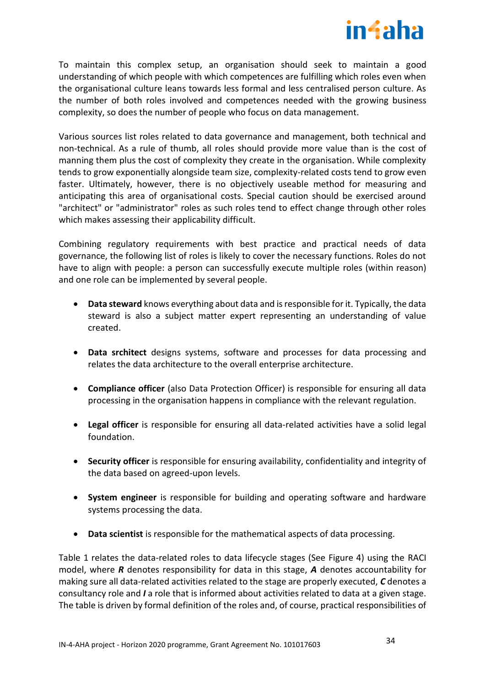

To maintain this complex setup, an organisation should seek to maintain a good understanding of which people with which competences are fulfilling which roles even when the organisational culture leans towards less formal and less centralised person culture. As the number of both roles involved and competences needed with the growing business complexity, so does the number of people who focus on data management.

Various sources list roles related to data governance and management, both technical and non-technical. As a rule of thumb, all roles should provide more value than is the cost of manning them plus the cost of complexity they create in the organisation. While complexity tends to grow exponentially alongside team size, complexity-related costs tend to grow even faster. Ultimately, however, there is no objectively useable method for measuring and anticipating this area of organisational costs. Special caution should be exercised around "architect" or "administrator" roles as such roles tend to effect change through other roles which makes assessing their applicability difficult.

Combining regulatory requirements with best practice and practical needs of data governance, the following list of roles is likely to cover the necessary functions. Roles do not have to align with people: a person can successfully execute multiple roles (within reason) and one role can be implemented by several people.

- **Data steward** knows everything about data and is responsible for it. Typically, the data steward is also a subject matter expert representing an understanding of value created.
- **Data srchitect** designs systems, software and processes for data processing and relates the data architecture to the overall enterprise architecture.
- **Compliance officer** (also Data Protection Officer) is responsible for ensuring all data processing in the organisation happens in compliance with the relevant regulation.
- **Legal officer** is responsible for ensuring all data-related activities have a solid legal foundation.
- **Security officer** is responsible for ensuring availability, confidentiality and integrity of the data based on agreed-upon levels.
- **System engineer** is responsible for building and operating software and hardware systems processing the data.
- **Data scientist** is responsible for the mathematical aspects of data processing.

[Table 1](#page-34-1) relates the data-related roles to data lifecycle stages (See Figure 4) using the RACI model, where *R* denotes responsibility for data in this stage, *A* denotes accountability for making sure all data-related activities related to the stage are properly executed, *C* denotes a consultancy role and *I* a role that is informed about activities related to data at a given stage. The table is driven by formal definition of the roles and, of course, practical responsibilities of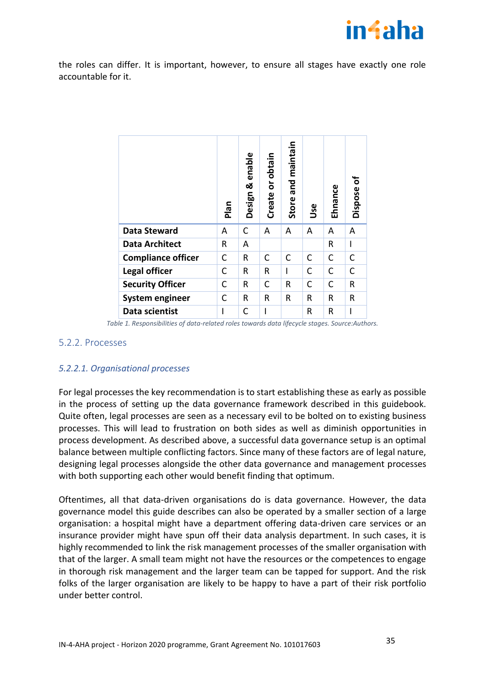

the roles can differ. It is important, however, to ensure all stages have exactly one role accountable for it.

|                           | Plan | enable<br>ఱ<br>Design | or obtain<br>Create | maintain<br>and<br>Store | Use | Ehnance | ō<br>Dispose |
|---------------------------|------|-----------------------|---------------------|--------------------------|-----|---------|--------------|
| <b>Data Steward</b>       | Α    | С                     | A                   | A                        | A   | A       | Α            |
| <b>Data Architect</b>     | R    | A                     |                     |                          |     | R       | I            |
| <b>Compliance officer</b> | C    | R                     | C                   | C                        | C   | C       | C            |
| Legal officer             | C    | R                     | R                   | I                        | C   | C       | $\mathsf C$  |
| <b>Security Officer</b>   | C    | R                     | C                   | R                        | C   | C       | R            |
| <b>System engineer</b>    | C    | R                     | R                   | R                        | R   | R       | R            |
| Data scientist            |      | C                     |                     |                          | R   | R       |              |

*Table 1. Responsibilities of data-related roles towards data lifecycle stages. Source:Authors.*

#### <span id="page-34-1"></span><span id="page-34-0"></span>5.2.2. Processes

#### *5.2.2.1. Organisational processes*

For legal processes the key recommendation is to start establishing these as early as possible in the process of setting up the data governance framework described in this guidebook. Quite often, legal processes are seen as a necessary evil to be bolted on to existing business processes. This will lead to frustration on both sides as well as diminish opportunities in process development. As described above, a successful data governance setup is an optimal balance between multiple conflicting factors. Since many of these factors are of legal nature, designing legal processes alongside the other data governance and management processes with both supporting each other would benefit finding that optimum.

Oftentimes, all that data-driven organisations do is data governance. However, the data governance model this guide describes can also be operated by a smaller section of a large organisation: a hospital might have a department offering data-driven care services or an insurance provider might have spun off their data analysis department. In such cases, it is highly recommended to link the risk management processes of the smaller organisation with that of the larger. A small team might not have the resources or the competences to engage in thorough risk management and the larger team can be tapped for support. And the risk folks of the larger organisation are likely to be happy to have a part of their risk portfolio under better control.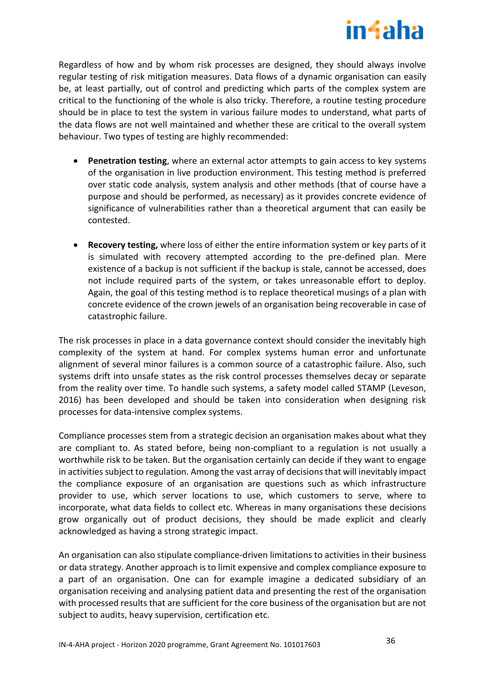

Regardless of how and by whom risk processes are designed, they should always involve regular testing of risk mitigation measures. Data flows of a dynamic organisation can easily be, at least partially, out of control and predicting which parts of the complex system are critical to the functioning of the whole is also tricky. Therefore, a routine testing procedure should be in place to test the system in various failure modes to understand, what parts of the data flows are not well maintained and whether these are critical to the overall system behaviour. Two types of testing are highly recommended:

- **Penetration testing**, where an external actor attempts to gain access to key systems of the organisation in live production environment. This testing method is preferred over static code analysis, system analysis and other methods (that of course have a purpose and should be performed, as necessary) as it provides concrete evidence of significance of vulnerabilities rather than a theoretical argument that can easily be contested.
- **Recovery testing,** where loss of either the entire information system or key parts of it is simulated with recovery attempted according to the pre-defined plan. Mere existence of a backup is not sufficient if the backup is stale, cannot be accessed, does not include required parts of the system, or takes unreasonable effort to deploy. Again, the goal of this testing method is to replace theoretical musings of a plan with concrete evidence of the crown jewels of an organisation being recoverable in case of catastrophic failure.

The risk processes in place in a data governance context should consider the inevitably high complexity of the system at hand. For complex systems human error and unfortunate alignment of several minor failures is a common source of a catastrophic failure. Also, such systems drift into unsafe states as the risk control processes themselves decay or separate from the reality over time. To handle such systems, a safety model called STAMP (Leveson, 2016) has been developed and should be taken into consideration when designing risk processes for data-intensive complex systems.

Compliance processes stem from a strategic decision an organisation makes about what they are compliant to. As stated before, being non-compliant to a regulation is not usually a worthwhile risk to be taken. But the organisation certainly can decide if they want to engage in activities subject to regulation. Among the vast array of decisions that will inevitably impact the compliance exposure of an organisation are questions such as which infrastructure provider to use, which server locations to use, which customers to serve, where to incorporate, what data fields to collect etc. Whereas in many organisations these decisions grow organically out of product decisions, they should be made explicit and clearly acknowledged as having a strong strategic impact.

An organisation can also stipulate compliance-driven limitations to activities in their business or data strategy. Another approach is to limit expensive and complex compliance exposure to a part of an organisation. One can for example imagine a dedicated subsidiary of an organisation receiving and analysing patient data and presenting the rest of the organisation with processed results that are sufficient for the core business of the organisation but are not subject to audits, heavy supervision, certification etc.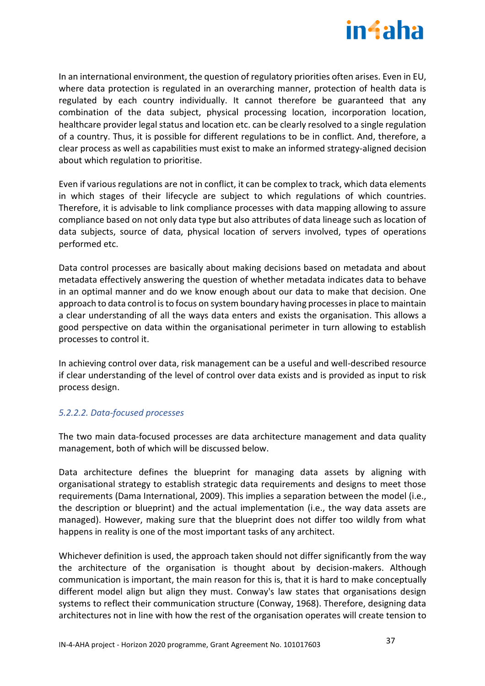

In an international environment, the question of regulatory priorities often arises. Even in EU, where data protection is regulated in an overarching manner, protection of health data is regulated by each country individually. It cannot therefore be guaranteed that any combination of the data subject, physical processing location, incorporation location, healthcare provider legal status and location etc. can be clearly resolved to a single regulation of a country. Thus, it is possible for different regulations to be in conflict. And, therefore, a clear process as well as capabilities must exist to make an informed strategy-aligned decision about which regulation to prioritise.

Even if various regulations are not in conflict, it can be complex to track, which data elements in which stages of their lifecycle are subject to which regulations of which countries. Therefore, it is advisable to link compliance processes with data mapping allowing to assure compliance based on not only data type but also attributes of data lineage such as location of data subjects, source of data, physical location of servers involved, types of operations performed etc.

Data control processes are basically about making decisions based on metadata and about metadata effectively answering the question of whether metadata indicates data to behave in an optimal manner and do we know enough about our data to make that decision. One approach to data control is to focus on system boundary having processes in place to maintain a clear understanding of all the ways data enters and exists the organisation. This allows a good perspective on data within the organisational perimeter in turn allowing to establish processes to control it.

In achieving control over data, risk management can be a useful and well-described resource if clear understanding of the level of control over data exists and is provided as input to risk process design.

## *5.2.2.2. Data-focused processes*

The two main data-focused processes are data architecture management and data quality management, both of which will be discussed below.

Data architecture defines the blueprint for managing data assets by aligning with organisational strategy to establish strategic data requirements and designs to meet those requirements (Dama International, 2009). This implies a separation between the model (i.e., the description or blueprint) and the actual implementation (i.e., the way data assets are managed). However, making sure that the blueprint does not differ too wildly from what happens in reality is one of the most important tasks of any architect.

Whichever definition is used, the approach taken should not differ significantly from the way the architecture of the organisation is thought about by decision-makers. Although communication is important, the main reason for this is, that it is hard to make conceptually different model align but align they must. Conway's law states that organisations design systems to reflect their communication structure (Conway, 1968). Therefore, designing data architectures not in line with how the rest of the organisation operates will create tension to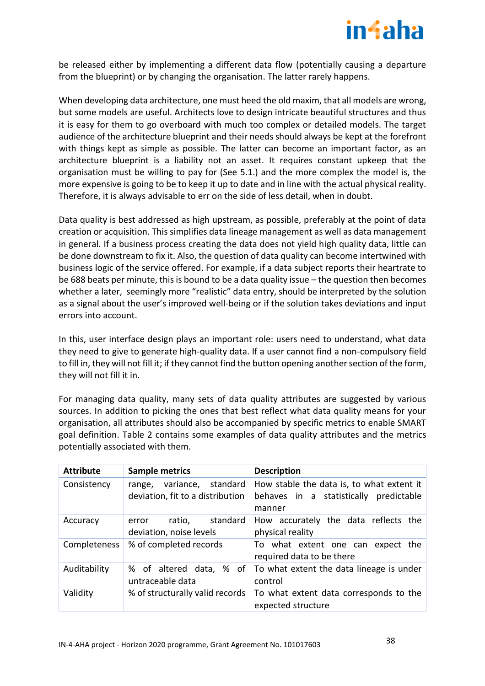

be released either by implementing a different data flow (potentially causing a departure from the blueprint) or by changing the organisation. The latter rarely happens.

When developing data architecture, one must heed the old maxim, that all models are wrong, but some models are useful. Architects love to design intricate beautiful structures and thus it is easy for them to go overboard with much too complex or detailed models. The target audience of the architecture blueprint and their needs should always be kept at the forefront with things kept as simple as possible. The latter can become an important factor, as an architecture blueprint is a liability not an asset. It requires constant upkeep that the organisation must be willing to pay for (See 5.1.) and the more complex the model is, the more expensive is going to be to keep it up to date and in line with the actual physical reality. Therefore, it is always advisable to err on the side of less detail, when in doubt.

Data quality is best addressed as high upstream, as possible, preferably at the point of data creation or acquisition. This simplifies data lineage management as well as data management in general. If a business process creating the data does not yield high quality data, little can be done downstream to fix it. Also, the question of data quality can become intertwined with business logic of the service offered. For example, if a data subject reports their heartrate to be 688 beats per minute, this is bound to be a data quality issue – the question then becomes whether a later, seemingly more "realistic" data entry, should be interpreted by the solution as a signal about the user's improved well-being or if the solution takes deviations and input errors into account.

In this, user interface design plays an important role: users need to understand, what data they need to give to generate high-quality data. If a user cannot find a non-compulsory field to fill in, they will not fill it; if they cannot find the button opening another section of the form, they will not fill it in.

For managing data quality, many sets of data quality attributes are suggested by various sources. In addition to picking the ones that best reflect what data quality means for your organisation, all attributes should also be accompanied by specific metrics to enable SMART goal definition. [Table 2](#page-38-1) contains some examples of data quality attributes and the metrics potentially associated with them.

| <b>Attribute</b> | <b>Sample metrics</b>                                            | <b>Description</b>                                                                            |
|------------------|------------------------------------------------------------------|-----------------------------------------------------------------------------------------------|
| Consistency      | variance, standard<br>range,<br>deviation, fit to a distribution | How stable the data is, to what extent it<br>behaves in a statistically predictable<br>manner |
| Accuracy         | standard<br>ratio,<br>error<br>deviation, noise levels           | How accurately the data reflects the<br>physical reality                                      |
| Completeness     | % of completed records                                           | To what extent one can expect the<br>required data to be there                                |
| Auditability     | % of altered data, % of<br>untraceable data                      | To what extent the data lineage is under<br>control                                           |
| Validity         | % of structurally valid records                                  | To what extent data corresponds to the<br>expected structure                                  |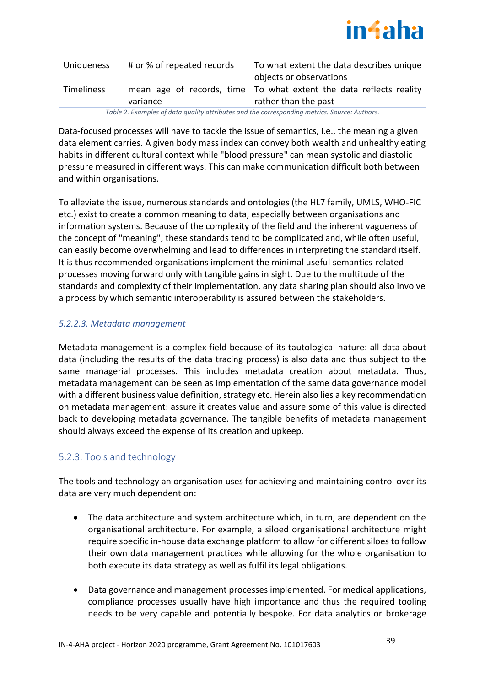

| <b>Uniqueness</b> | # or % of repeated records | To what extent the data describes unique<br>objects or observations                                |
|-------------------|----------------------------|----------------------------------------------------------------------------------------------------|
| <b>Timeliness</b> | variance                   | mean age of records, time $\vert$ To what extent the data reflects reality<br>rather than the past |

*Table 2. Examples of data quality attributes and the corresponding metrics. Source: Authors.*

<span id="page-38-1"></span>Data-focused processes will have to tackle the issue of semantics, i.e., the meaning a given data element carries. A given body mass index can convey both wealth and unhealthy eating habits in different cultural context while "blood pressure" can mean systolic and diastolic pressure measured in different ways. This can make communication difficult both between and within organisations.

To alleviate the issue, numerous standards and ontologies (the HL7 family, UMLS, WHO-FIC etc.) exist to create a common meaning to data, especially between organisations and information systems. Because of the complexity of the field and the inherent vagueness of the concept of "meaning", these standards tend to be complicated and, while often useful, can easily become overwhelming and lead to differences in interpreting the standard itself. It is thus recommended organisations implement the minimal useful semantics-related processes moving forward only with tangible gains in sight. Due to the multitude of the standards and complexity of their implementation, any data sharing plan should also involve a process by which semantic interoperability is assured between the stakeholders.

# *5.2.2.3. Metadata management*

Metadata management is a complex field because of its tautological nature: all data about data (including the results of the data tracing process) is also data and thus subject to the same managerial processes. This includes metadata creation about metadata. Thus, metadata management can be seen as implementation of the same data governance model with a different business value definition, strategy etc. Herein also lies a key recommendation on metadata management: assure it creates value and assure some of this value is directed back to developing metadata governance. The tangible benefits of metadata management should always exceed the expense of its creation and upkeep.

# <span id="page-38-0"></span>5.2.3. Tools and technology

The tools and technology an organisation uses for achieving and maintaining control over its data are very much dependent on:

- The data architecture and system architecture which, in turn, are dependent on the organisational architecture. For example, a siloed organisational architecture might require specific in-house data exchange platform to allow for different siloes to follow their own data management practices while allowing for the whole organisation to both execute its data strategy as well as fulfil its legal obligations.
- Data governance and management processes implemented. For medical applications, compliance processes usually have high importance and thus the required tooling needs to be very capable and potentially bespoke. For data analytics or brokerage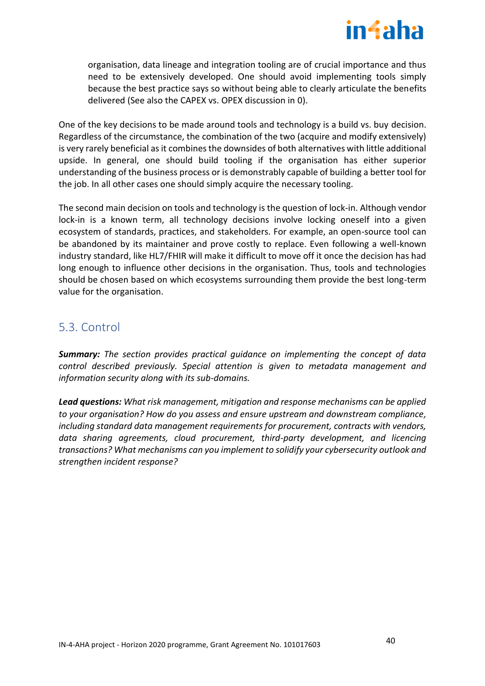

organisation, data lineage and integration tooling are of crucial importance and thus need to be extensively developed. One should avoid implementing tools simply because the best practice says so without being able to clearly articulate the benefits delivered (See also the CAPEX vs. OPEX discussion in [0\)](#page-30-1).

One of the key decisions to be made around tools and technology is a build vs. buy decision. Regardless of the circumstance, the combination of the two (acquire and modify extensively) is very rarely beneficial as it combines the downsides of both alternatives with little additional upside. In general, one should build tooling if the organisation has either superior understanding of the business process or is demonstrably capable of building a better tool for the job. In all other cases one should simply acquire the necessary tooling.

The second main decision on tools and technology is the question of lock-in. Although vendor lock-in is a known term, all technology decisions involve locking oneself into a given ecosystem of standards, practices, and stakeholders. For example, an open-source tool can be abandoned by its maintainer and prove costly to replace. Even following a well-known industry standard, like HL7/FHIR will make it difficult to move off it once the decision has had long enough to influence other decisions in the organisation. Thus, tools and technologies should be chosen based on which ecosystems surrounding them provide the best long-term value for the organisation.

# <span id="page-39-0"></span>5.3. Control

*Summary: The section provides practical guidance on implementing the concept of data control described previously. Special attention is given to metadata management and information security along with its sub-domains.*

*Lead questions: What risk management, mitigation and response mechanisms can be applied to your organisation? How do you assess and ensure upstream and downstream compliance, including standard data management requirements for procurement, contracts with vendors, data sharing agreements, cloud procurement, third-party development, and licencing transactions? What mechanisms can you implement to solidify your cybersecurity outlook and strengthen incident response?*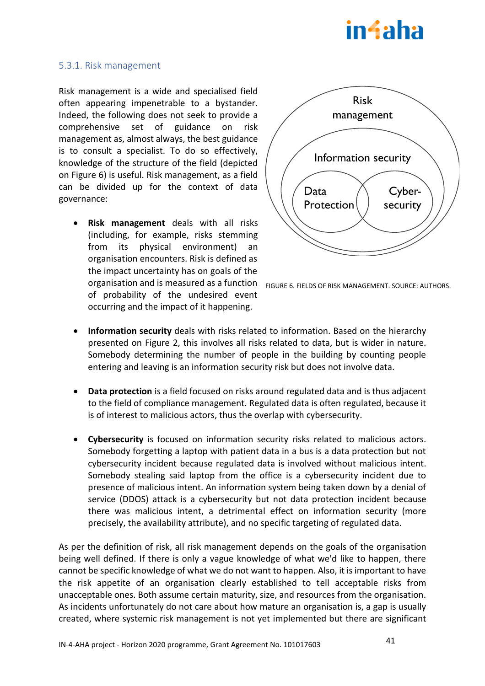# in4aha

## <span id="page-40-0"></span>5.3.1. Risk management

Risk management is a wide and specialised field often appearing impenetrable to a bystander. Indeed, the following does not seek to provide a comprehensive set of guidance on risk management as, almost always, the best guidance is to consult a specialist. To do so effectively, knowledge of the structure of the field (depicted on [Figure 6\)](#page-40-1) is useful. Risk management, as a field can be divided up for the context of data governance:

• **Risk management** deals with all risks (including, for example, risks stemming from its physical environment) an organisation encounters. Risk is defined as the impact uncertainty has on goals of the organisation and is measured as a function of probability of the undesired event occurring and the impact of it happening.



<span id="page-40-1"></span>FIGURE 6. FIELDS OF RISK MANAGEMENT. SOURCE: AUTHORS.

- **Information security** deals with risks related to information. Based on the hierarchy presented on [Figure 2,](#page-14-0) this involves all risks related to data, but is wider in nature. Somebody determining the number of people in the building by counting people entering and leaving is an information security risk but does not involve data.
- **Data protection** is a field focused on risks around regulated data and is thus adjacent to the field of compliance management. Regulated data is often regulated, because it is of interest to malicious actors, thus the overlap with cybersecurity.
- **Cybersecurity** is focused on information security risks related to malicious actors. Somebody forgetting a laptop with patient data in a bus is a data protection but not cybersecurity incident because regulated data is involved without malicious intent. Somebody stealing said laptop from the office is a cybersecurity incident due to presence of malicious intent. An information system being taken down by a denial of service (DDOS) attack is a cybersecurity but not data protection incident because there was malicious intent, a detrimental effect on information security (more precisely, the availability attribute), and no specific targeting of regulated data.

As per the definition of risk, all risk management depends on the goals of the organisation being well defined. If there is only a vague knowledge of what we'd like to happen, there cannot be specific knowledge of what we do not want to happen. Also, it is important to have the risk appetite of an organisation clearly established to tell acceptable risks from unacceptable ones. Both assume certain maturity, size, and resources from the organisation. As incidents unfortunately do not care about how mature an organisation is, a gap is usually created, where systemic risk management is not yet implemented but there are significant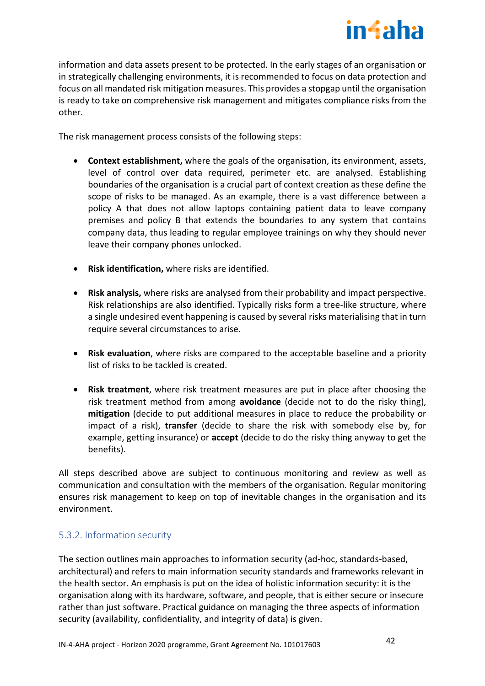

information and data assets present to be protected. In the early stages of an organisation or in strategically challenging environments, it is recommended to focus on data protection and focus on all mandated risk mitigation measures. This provides a stopgap until the organisation is ready to take on comprehensive risk management and mitigates compliance risks from the other.

The risk management process consists of the following steps:

- **Context establishment,** where the goals of the organisation, its environment, assets, level of control over data required, perimeter etc. are analysed. Establishing boundaries of the organisation is a crucial part of context creation as these define the scope of risks to be managed. As an example, there is a vast difference between a policy A that does not allow laptops containing patient data to leave company premises and policy B that extends the boundaries to any system that contains company data, thus leading to regular employee trainings on why they should never leave their company phones unlocked.
- **Risk identification,** where risks are identified.
- **Risk analysis,** where risks are analysed from their probability and impact perspective. Risk relationships are also identified. Typically risks form a tree-like structure, where a single undesired event happening is caused by several risks materialising that in turn require several circumstances to arise.
- **Risk evaluation**, where risks are compared to the acceptable baseline and a priority list of risks to be tackled is created.
- **Risk treatment**, where risk treatment measures are put in place after choosing the risk treatment method from among **avoidance** (decide not to do the risky thing), **mitigation** (decide to put additional measures in place to reduce the probability or impact of a risk), **transfer** (decide to share the risk with somebody else by, for example, getting insurance) or **accept** (decide to do the risky thing anyway to get the benefits).

All steps described above are subject to continuous monitoring and review as well as communication and consultation with the members of the organisation. Regular monitoring ensures risk management to keep on top of inevitable changes in the organisation and its environment.

# <span id="page-41-0"></span>5.3.2. Information security

The section outlines main approaches to information security (ad-hoc, standards-based, architectural) and refers to main information security standards and frameworks relevant in the health sector. An emphasis is put on the idea of holistic information security: it is the organisation along with its hardware, software, and people, that is either secure or insecure rather than just software. Practical guidance on managing the three aspects of information security (availability, confidentiality, and integrity of data) is given.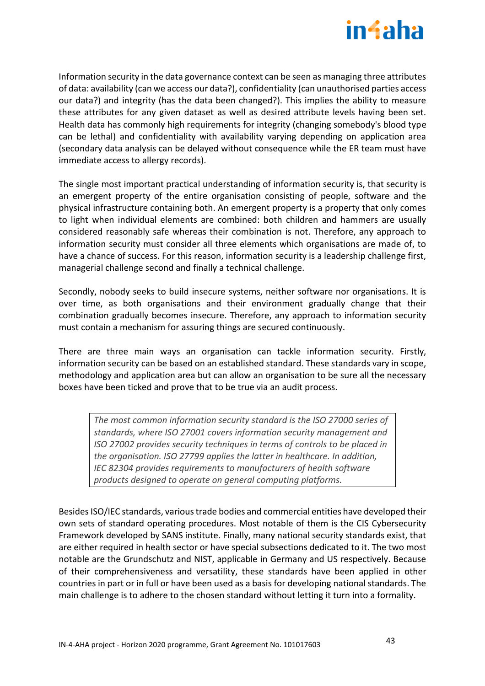

Information security in the data governance context can be seen as managing three attributes of data: availability (can we access our data?), confidentiality (can unauthorised parties access our data?) and integrity (has the data been changed?). This implies the ability to measure these attributes for any given dataset as well as desired attribute levels having been set. Health data has commonly high requirements for integrity (changing somebody's blood type can be lethal) and confidentiality with availability varying depending on application area (secondary data analysis can be delayed without consequence while the ER team must have immediate access to allergy records).

The single most important practical understanding of information security is, that security is an emergent property of the entire organisation consisting of people, software and the physical infrastructure containing both. An emergent property is a property that only comes to light when individual elements are combined: both children and hammers are usually considered reasonably safe whereas their combination is not. Therefore, any approach to information security must consider all three elements which organisations are made of, to have a chance of success. For this reason, information security is a leadership challenge first, managerial challenge second and finally a technical challenge.

Secondly, nobody seeks to build insecure systems, neither software nor organisations. It is over time, as both organisations and their environment gradually change that their combination gradually becomes insecure. Therefore, any approach to information security must contain a mechanism for assuring things are secured continuously.

There are three main ways an organisation can tackle information security. Firstly, information security can be based on an established standard. These standards vary in scope, methodology and application area but can allow an organisation to be sure all the necessary boxes have been ticked and prove that to be true via an audit process.

*The most common information security standard is the ISO 27000 series of standards, where ISO 27001 covers information security management and ISO 27002 provides security techniques in terms of controls to be placed in the organisation. ISO 27799 applies the latter in healthcare. In addition, IEC 82304 provides requirements to manufacturers of health software products designed to operate on general computing platforms.* 

Besides ISO/IEC standards, various trade bodies and commercial entities have developed their own sets of standard operating procedures. Most notable of them is the CIS Cybersecurity Framework developed by SANS institute. Finally, many national security standards exist, that are either required in health sector or have special subsections dedicated to it. The two most notable are the Grundschutz and NIST, applicable in Germany and US respectively. Because of their comprehensiveness and versatility, these standards have been applied in other countries in part or in full or have been used as a basis for developing national standards. The main challenge is to adhere to the chosen standard without letting it turn into a formality.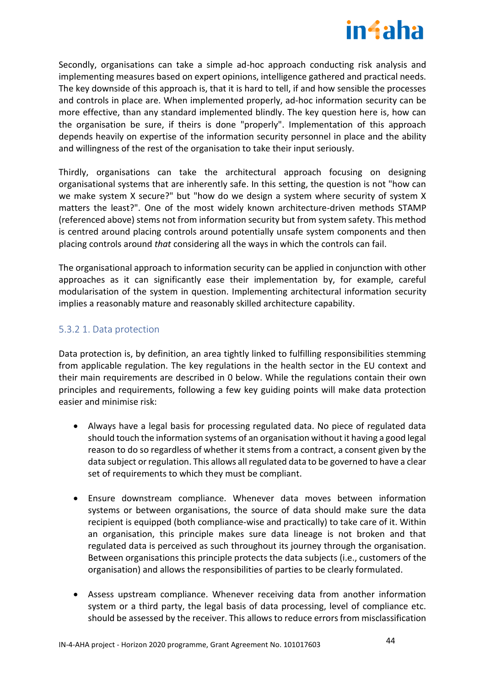

Secondly, organisations can take a simple ad-hoc approach conducting risk analysis and implementing measures based on expert opinions, intelligence gathered and practical needs. The key downside of this approach is, that it is hard to tell, if and how sensible the processes and controls in place are. When implemented properly, ad-hoc information security can be more effective, than any standard implemented blindly. The key question here is, how can the organisation be sure, if theirs is done "properly". Implementation of this approach depends heavily on expertise of the information security personnel in place and the ability and willingness of the rest of the organisation to take their input seriously.

Thirdly, organisations can take the architectural approach focusing on designing organisational systems that are inherently safe. In this setting, the question is not "how can we make system X secure?" but "how do we design a system where security of system X matters the least?". One of the most widely known architecture-driven methods STAMP (referenced above) stems not from information security but from system safety. This method is centred around placing controls around potentially unsafe system components and then placing controls around *that* considering all the ways in which the controls can fail.

The organisational approach to information security can be applied in conjunction with other approaches as it can significantly ease their implementation by, for example, careful modularisation of the system in question. Implementing architectural information security implies a reasonably mature and reasonably skilled architecture capability.

# 5.3.2 1. Data protection

Data protection is, by definition, an area tightly linked to fulfilling responsibilities stemming from applicable regulation. The key regulations in the health sector in the EU context and their main requirements are described in [0](#page-51-1) below. While the regulations contain their own principles and requirements, following a few key guiding points will make data protection easier and minimise risk:

- Always have a legal basis for processing regulated data. No piece of regulated data should touch the information systems of an organisation without it having a good legal reason to do so regardless of whether it stems from a contract, a consent given by the data subject or regulation. This allows all regulated data to be governed to have a clear set of requirements to which they must be compliant.
- Ensure downstream compliance. Whenever data moves between information systems or between organisations, the source of data should make sure the data recipient is equipped (both compliance-wise and practically) to take care of it. Within an organisation, this principle makes sure data lineage is not broken and that regulated data is perceived as such throughout its journey through the organisation. Between organisations this principle protects the data subjects (i.e., customers of the organisation) and allows the responsibilities of parties to be clearly formulated.
- Assess upstream compliance. Whenever receiving data from another information system or a third party, the legal basis of data processing, level of compliance etc. should be assessed by the receiver. This allows to reduce errors from misclassification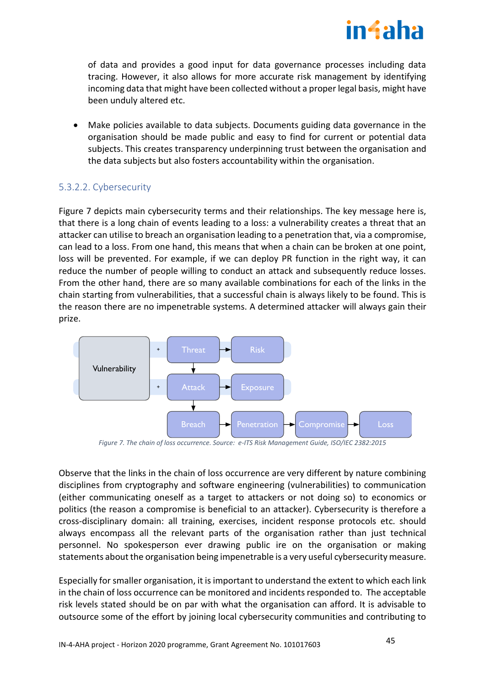

of data and provides a good input for data governance processes including data tracing. However, it also allows for more accurate risk management by identifying incoming data that might have been collected without a proper legal basis, might have been unduly altered etc.

• Make policies available to data subjects. Documents guiding data governance in the organisation should be made public and easy to find for current or potential data subjects. This creates transparency underpinning trust between the organisation and the data subjects but also fosters accountability within the organisation.

# 5.3.2.2. Cybersecurity

[Figure 7](#page-44-0) depicts main cybersecurity terms and their relationships. The key message here is, that there is a long chain of events leading to a loss: a vulnerability creates a threat that an attacker can utilise to breach an organisation leading to a penetration that, via a compromise, can lead to a loss. From one hand, this means that when a chain can be broken at one point, loss will be prevented. For example, if we can deploy PR function in the right way, it can reduce the number of people willing to conduct an attack and subsequently reduce losses. From the other hand, there are so many available combinations for each of the links in the chain starting from vulnerabilities, that a successful chain is always likely to be found. This is the reason there are no impenetrable systems. A determined attacker will always gain their prize.



*Figure 7. The chain of loss occurrence. Source: e-ITS Risk Management Guide, ISO/IEC 2382:2015*

<span id="page-44-0"></span>Observe that the links in the chain of loss occurrence are very different by nature combining disciplines from cryptography and software engineering (vulnerabilities) to communication (either communicating oneself as a target to attackers or not doing so) to economics or politics (the reason a compromise is beneficial to an attacker). Cybersecurity is therefore a cross-disciplinary domain: all training, exercises, incident response protocols etc. should always encompass all the relevant parts of the organisation rather than just technical personnel. No spokesperson ever drawing public ire on the organisation or making statements about the organisation being impenetrable is a very useful cybersecurity measure.

Especially for smaller organisation, it is important to understand the extent to which each link in the chain of loss occurrence can be monitored and incidents responded to. The acceptable risk levels stated should be on par with what the organisation can afford. It is advisable to outsource some of the effort by joining local cybersecurity communities and contributing to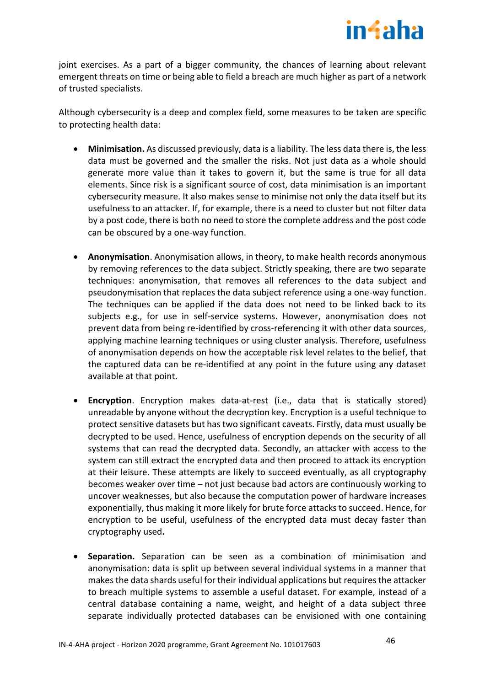

joint exercises. As a part of a bigger community, the chances of learning about relevant emergent threats on time or being able to field a breach are much higher as part of a network of trusted specialists.

Although cybersecurity is a deep and complex field, some measures to be taken are specific to protecting health data:

- **Minimisation.** As discussed previously, data is a liability. The less data there is, the less data must be governed and the smaller the risks. Not just data as a whole should generate more value than it takes to govern it, but the same is true for all data elements. Since risk is a significant source of cost, data minimisation is an important cybersecurity measure. It also makes sense to minimise not only the data itself but its usefulness to an attacker. If, for example, there is a need to cluster but not filter data by a post code, there is both no need to store the complete address and the post code can be obscured by a one-way function.
- **Anonymisation**. Anonymisation allows, in theory, to make health records anonymous by removing references to the data subject. Strictly speaking, there are two separate techniques: anonymisation, that removes all references to the data subject and pseudonymisation that replaces the data subject reference using a one-way function. The techniques can be applied if the data does not need to be linked back to its subjects e.g., for use in self-service systems. However, anonymisation does not prevent data from being re-identified by cross-referencing it with other data sources, applying machine learning techniques or using cluster analysis. Therefore, usefulness of anonymisation depends on how the acceptable risk level relates to the belief, that the captured data can be re-identified at any point in the future using any dataset available at that point.
- **Encryption**. Encryption makes data-at-rest (i.e., data that is statically stored) unreadable by anyone without the decryption key. Encryption is a useful technique to protect sensitive datasets but has two significant caveats. Firstly, data must usually be decrypted to be used. Hence, usefulness of encryption depends on the security of all systems that can read the decrypted data. Secondly, an attacker with access to the system can still extract the encrypted data and then proceed to attack its encryption at their leisure. These attempts are likely to succeed eventually, as all cryptography becomes weaker over time – not just because bad actors are continuously working to uncover weaknesses, but also because the computation power of hardware increases exponentially, thus making it more likely for brute force attacks to succeed. Hence, for encryption to be useful, usefulness of the encrypted data must decay faster than cryptography used**.**
- **Separation.** Separation can be seen as a combination of minimisation and anonymisation: data is split up between several individual systems in a manner that makes the data shards useful for their individual applications but requires the attacker to breach multiple systems to assemble a useful dataset. For example, instead of a central database containing a name, weight, and height of a data subject three separate individually protected databases can be envisioned with one containing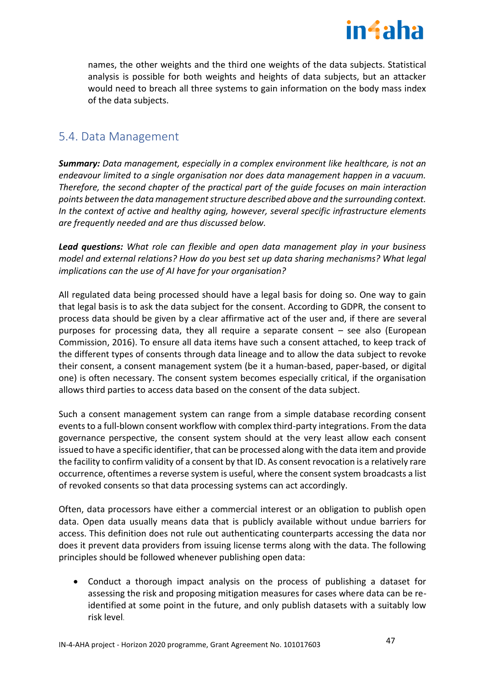

names, the other weights and the third one weights of the data subjects. Statistical analysis is possible for both weights and heights of data subjects, but an attacker would need to breach all three systems to gain information on the body mass index of the data subjects.

# <span id="page-46-0"></span>5.4. Data Management

*Summary: Data management, especially in a complex environment like healthcare, is not an endeavour limited to a single organisation nor does data management happen in a vacuum. Therefore, the second chapter of the practical part of the guide focuses on main interaction points between the data management structure described above and the surrounding context. In the context of active and healthy aging, however, several specific infrastructure elements are frequently needed and are thus discussed below.*

*Lead questions: What role can flexible and open data management play in your business model and external relations? How do you best set up data sharing mechanisms? What legal implications can the use of AI have for your organisation?* 

All regulated data being processed should have a legal basis for doing so. One way to gain that legal basis is to ask the data subject for the consent. According to GDPR, the consent to process data should be given by a clear affirmative act of the user and, if there are several purposes for processing data, they all require a separate consent – see also (European Commission, 2016). To ensure all data items have such a consent attached, to keep track of the different types of consents through data lineage and to allow the data subject to revoke their consent, a consent management system (be it a human-based, paper-based, or digital one) is often necessary. The consent system becomes especially critical, if the organisation allows third parties to access data based on the consent of the data subject.

Such a consent management system can range from a simple database recording consent events to a full-blown consent workflow with complex third-party integrations. From the data governance perspective, the consent system should at the very least allow each consent issued to have a specific identifier, that can be processed along with the data item and provide the facility to confirm validity of a consent by that ID. As consent revocation is a relatively rare occurrence, oftentimes a reverse system is useful, where the consent system broadcasts a list of revoked consents so that data processing systems can act accordingly.

Often, data processors have either a commercial interest or an obligation to publish open data. Open data usually means data that is publicly available without undue barriers for access. This definition does not rule out authenticating counterparts accessing the data nor does it prevent data providers from issuing license terms along with the data. The following principles should be followed whenever publishing open data:

• Conduct a thorough impact analysis on the process of publishing a dataset for assessing the risk and proposing mitigation measures for cases where data can be reidentified at some point in the future, and only publish datasets with a suitably low risk level.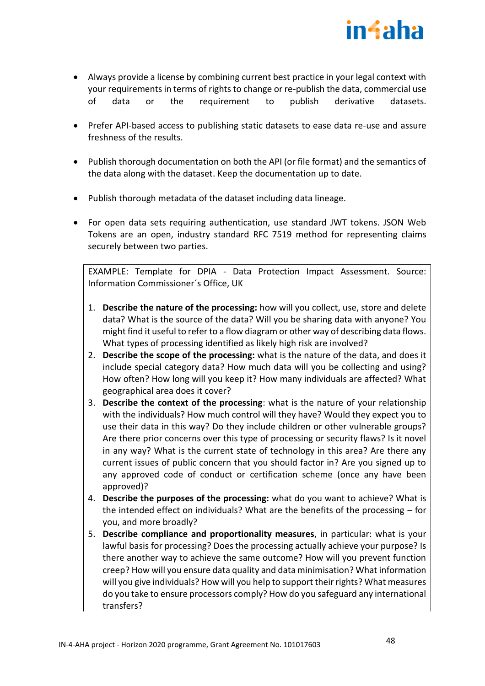

- Always provide a license by combining current best practice in your legal context with your requirements in terms of rights to change or re-publish the data, commercial use of data or the requirement to publish derivative datasets.
- Prefer API-based access to publishing static datasets to ease data re-use and assure freshness of the results.
- Publish thorough documentation on both the API (or file format) and the semantics of the data along with the dataset. Keep the documentation up to date.
- Publish thorough metadata of the dataset including data lineage.
- For open data sets requiring authentication, use standard JWT tokens. JSON Web Tokens are an open, industry standard RFC 7519 method for representing claims securely between two parties.

EXAMPLE: Template for DPIA - Data Protection Impact Assessment. Source: Information Commissioner´s Office, UK

- 1. **Describe the nature of the processing:** how will you collect, use, store and delete data? What is the source of the data? Will you be sharing data with anyone? You might find it useful to refer to a flow diagram or other way of describing data flows. What types of processing identified as likely high risk are involved?
- 2. **Describe the scope of the processing:** what is the nature of the data, and does it include special category data? How much data will you be collecting and using? How often? How long will you keep it? How many individuals are affected? What geographical area does it cover?
- 3. **Describe the context of the processing**: what is the nature of your relationship with the individuals? How much control will they have? Would they expect you to use their data in this way? Do they include children or other vulnerable groups? Are there prior concerns over this type of processing or security flaws? Is it novel in any way? What is the current state of technology in this area? Are there any current issues of public concern that you should factor in? Are you signed up to any approved code of conduct or certification scheme (once any have been approved)?
- 4. **Describe the purposes of the processing:** what do you want to achieve? What is the intended effect on individuals? What are the benefits of the processing – for you, and more broadly?
- 5. **Describe compliance and proportionality measures**, in particular: what is your lawful basis for processing? Does the processing actually achieve your purpose? Is there another way to achieve the same outcome? How will you prevent function creep? How will you ensure data quality and data minimisation? What information will you give individuals? How will you help to support their rights? What measures do you take to ensure processors comply? How do you safeguard any international transfers?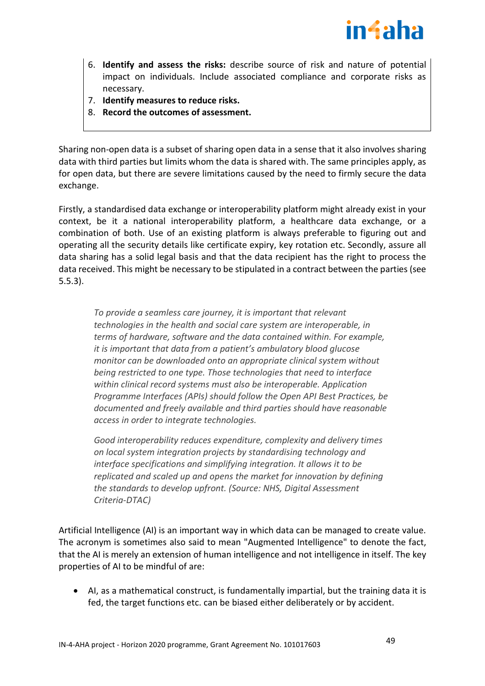

- 6. **Identify and assess the risks:** describe source of risk and nature of potential impact on individuals. Include associated compliance and corporate risks as necessary.
- 7. **Identify measures to reduce risks.**
- 8. **Record the outcomes of assessment.**

Sharing non-open data is a subset of sharing open data in a sense that it also involves sharing data with third parties but limits whom the data is shared with. The same principles apply, as for open data, but there are severe limitations caused by the need to firmly secure the data exchange.

Firstly, a standardised data exchange or interoperability platform might already exist in your context, be it a national interoperability platform, a healthcare data exchange, or a combination of both. Use of an existing platform is always preferable to figuring out and operating all the security details like certificate expiry, key rotation etc. Secondly, assure all data sharing has a solid legal basis and that the data recipient has the right to process the data received. This might be necessary to be stipulated in a contract between the parties (see 5.5.3).

*To provide a seamless care journey, it is important that relevant technologies in the health and social care system are interoperable, in terms of hardware, software and the data contained within. For example, it is important that data from a patient's ambulatory blood glucose monitor can be downloaded onto an appropriate clinical system without being restricted to one type. Those technologies that need to interface within clinical record systems must also be interoperable. Application Programme Interfaces (APIs) should follow the Open API Best Practices, be documented and freely available and third parties should have reasonable access in order to integrate technologies.*

*Good interoperability reduces expenditure, complexity and delivery times on local system integration projects by standardising technology and interface specifications and simplifying integration. It allows it to be replicated and scaled up and opens the market for innovation by defining the standards to develop upfront. (Source: NHS, Digital Assessment Criteria-DTAC)*

Artificial Intelligence (AI) is an important way in which data can be managed to create value. The acronym is sometimes also said to mean "Augmented Intelligence" to denote the fact, that the AI is merely an extension of human intelligence and not intelligence in itself. The key properties of AI to be mindful of are:

• AI, as a mathematical construct, is fundamentally impartial, but the training data it is fed, the target functions etc. can be biased either deliberately or by accident.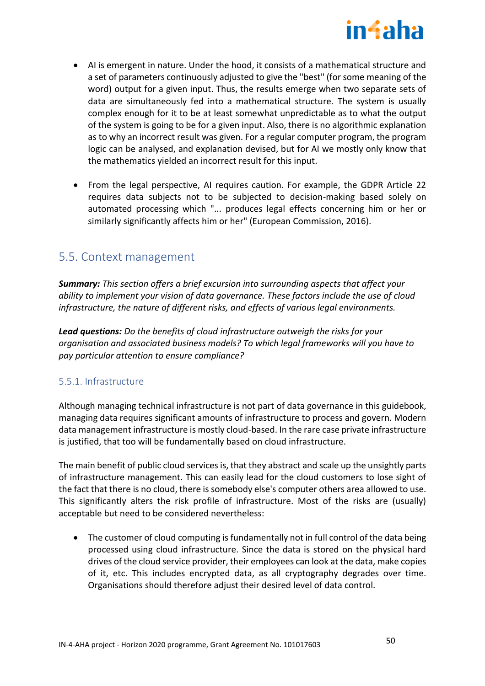

- AI is emergent in nature. Under the hood, it consists of a mathematical structure and a set of parameters continuously adjusted to give the "best" (for some meaning of the word) output for a given input. Thus, the results emerge when two separate sets of data are simultaneously fed into a mathematical structure. The system is usually complex enough for it to be at least somewhat unpredictable as to what the output of the system is going to be for a given input. Also, there is no algorithmic explanation as to why an incorrect result was given. For a regular computer program, the program logic can be analysed, and explanation devised, but for AI we mostly only know that the mathematics yielded an incorrect result for this input.
- From the legal perspective, AI requires caution. For example, the GDPR Article 22 requires data subjects not to be subjected to decision-making based solely on automated processing which "... produces legal effects concerning him or her or similarly significantly affects him or her" (European Commission, 2016).

# <span id="page-49-0"></span>5.5. Context management

*Summary: This section offers a brief excursion into surrounding aspects that affect your ability to implement your vision of data governance. These factors include the use of cloud infrastructure, the nature of different risks, and effects of various legal environments.*

*Lead questions: Do the benefits of cloud infrastructure outweigh the risks for your organisation and associated business models? To which legal frameworks will you have to pay particular attention to ensure compliance?*

# <span id="page-49-1"></span>5.5.1. Infrastructure

Although managing technical infrastructure is not part of data governance in this guidebook, managing data requires significant amounts of infrastructure to process and govern. Modern data management infrastructure is mostly cloud-based. In the rare case private infrastructure is justified, that too will be fundamentally based on cloud infrastructure.

The main benefit of public cloud services is, that they abstract and scale up the unsightly parts of infrastructure management. This can easily lead for the cloud customers to lose sight of the fact that there is no cloud, there is somebody else's computer others area allowed to use. This significantly alters the risk profile of infrastructure. Most of the risks are (usually) acceptable but need to be considered nevertheless:

• The customer of cloud computing is fundamentally not in full control of the data being processed using cloud infrastructure. Since the data is stored on the physical hard drives of the cloud service provider, their employees can look at the data, make copies of it, etc. This includes encrypted data, as all cryptography degrades over time. Organisations should therefore adjust their desired level of data control.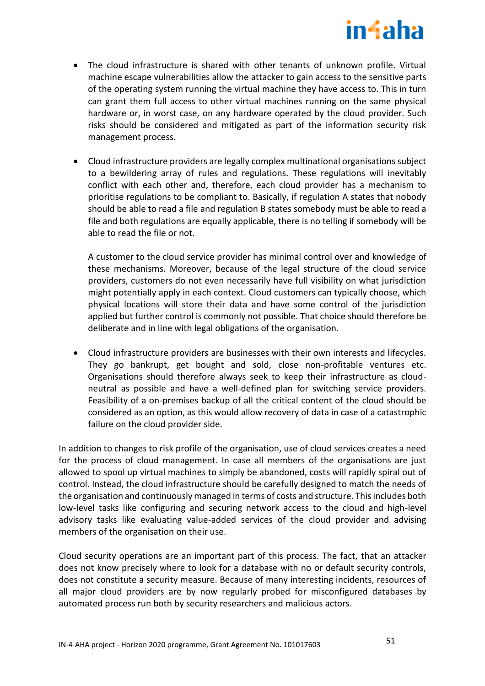

- The cloud infrastructure is shared with other tenants of unknown profile. Virtual machine escape vulnerabilities allow the attacker to gain access to the sensitive parts of the operating system running the virtual machine they have access to. This in turn can grant them full access to other virtual machines running on the same physical hardware or, in worst case, on any hardware operated by the cloud provider. Such risks should be considered and mitigated as part of the information security risk management process.
- Cloud infrastructure providers are legally complex multinational organisations subject to a bewildering array of rules and regulations. These regulations will inevitably conflict with each other and, therefore, each cloud provider has a mechanism to prioritise regulations to be compliant to. Basically, if regulation A states that nobody should be able to read a file and regulation B states somebody must be able to read a file and both regulations are equally applicable, there is no telling if somebody will be able to read the file or not.

A customer to the cloud service provider has minimal control over and knowledge of these mechanisms. Moreover, because of the legal structure of the cloud service providers, customers do not even necessarily have full visibility on what jurisdiction might potentially apply in each context. Cloud customers can typically choose, which physical locations will store their data and have some control of the jurisdiction applied but further control is commonly not possible. That choice should therefore be deliberate and in line with legal obligations of the organisation.

• Cloud infrastructure providers are businesses with their own interests and lifecycles. They go bankrupt, get bought and sold, close non-profitable ventures etc. Organisations should therefore always seek to keep their infrastructure as cloudneutral as possible and have a well-defined plan for switching service providers. Feasibility of a on-premises backup of all the critical content of the cloud should be considered as an option, as this would allow recovery of data in case of a catastrophic failure on the cloud provider side.

In addition to changes to risk profile of the organisation, use of cloud services creates a need for the process of cloud management. In case all members of the organisations are just allowed to spool up virtual machines to simply be abandoned, costs will rapidly spiral out of control. Instead, the cloud infrastructure should be carefully designed to match the needs of the organisation and continuously managed in terms of costs and structure. This includes both low-level tasks like configuring and securing network access to the cloud and high-level advisory tasks like evaluating value-added services of the cloud provider and advising members of the organisation on their use.

Cloud security operations are an important part of this process. The fact, that an attacker does not know precisely where to look for a database with no or default security controls, does not constitute a security measure. Because of many interesting incidents, resources of all major cloud providers are by now regularly probed for misconfigured databases by automated process run both by security researchers and malicious actors.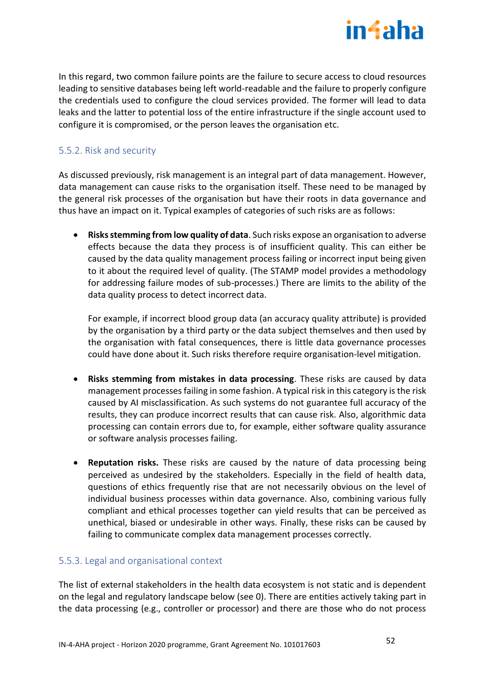

In this regard, two common failure points are the failure to secure access to cloud resources leading to sensitive databases being left world-readable and the failure to properly configure the credentials used to configure the cloud services provided. The former will lead to data leaks and the latter to potential loss of the entire infrastructure if the single account used to configure it is compromised, or the person leaves the organisation etc.

# <span id="page-51-0"></span>5.5.2. Risk and security

As discussed previously, risk management is an integral part of data management. However, data management can cause risks to the organisation itself. These need to be managed by the general risk processes of the organisation but have their roots in data governance and thus have an impact on it. Typical examples of categories of such risks are as follows:

• **Risks stemming from low quality of data**. Such risks expose an organisation to adverse effects because the data they process is of insufficient quality. This can either be caused by the data quality management process failing or incorrect input being given to it about the required level of quality. (The STAMP model provides a methodology for addressing failure modes of sub-processes.) There are limits to the ability of the data quality process to detect incorrect data.

For example, if incorrect blood group data (an accuracy quality attribute) is provided by the organisation by a third party or the data subject themselves and then used by the organisation with fatal consequences, there is little data governance processes could have done about it. Such risks therefore require organisation-level mitigation.

- **Risks stemming from mistakes in data processing**. These risks are caused by data management processes failing in some fashion. A typical risk in this category is the risk caused by AI misclassification. As such systems do not guarantee full accuracy of the results, they can produce incorrect results that can cause risk. Also, algorithmic data processing can contain errors due to, for example, either software quality assurance or software analysis processes failing.
- **Reputation risks.** These risks are caused by the nature of data processing being perceived as undesired by the stakeholders. Especially in the field of health data, questions of ethics frequently rise that are not necessarily obvious on the level of individual business processes within data governance. Also, combining various fully compliant and ethical processes together can yield results that can be perceived as unethical, biased or undesirable in other ways. Finally, these risks can be caused by failing to communicate complex data management processes correctly.

# <span id="page-51-1"></span>5.5.3. Legal and organisational context

The list of external stakeholders in the health data ecosystem is not static and is dependent on the legal and regulatory landscape below (see [0\)](#page-54-0). There are entities actively taking part in the data processing (e.g., controller or processor) and there are those who do not process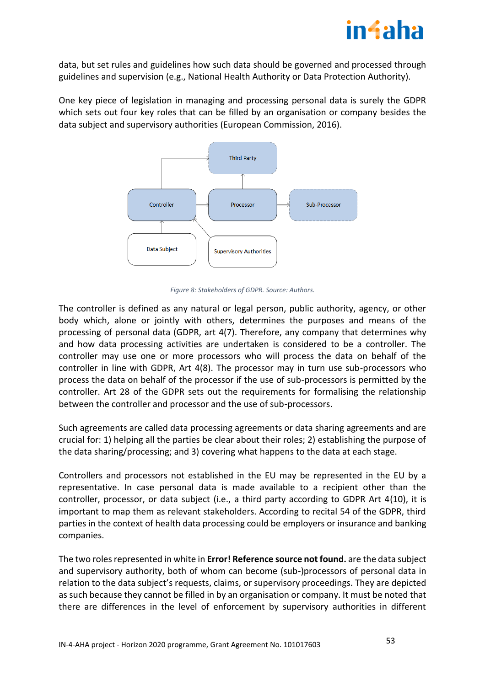

data, but set rules and guidelines how such data should be governed and processed through guidelines and supervision (e.g., National Health Authority or Data Protection Authority).

One key piece of legislation in managing and processing personal data is surely the GDPR which sets out four key roles that can be filled by an organisation or company besides the data subject and supervisory authorities (European Commission, 2016).



*Figure 8: Stakeholders of GDPR. Source: Authors.*

The controller is defined as any natural or legal person, public authority, agency, or other body which, alone or jointly with others, determines the purposes and means of the processing of personal data (GDPR, art 4(7). Therefore, any company that determines why and how data processing activities are undertaken is considered to be a controller. The controller may use one or more processors who will process the data on behalf of the controller in line with GDPR, Art 4(8). The processor may in turn use sub-processors who process the data on behalf of the processor if the use of sub-processors is permitted by the controller. Art 28 of the GDPR sets out the requirements for formalising the relationship between the controller and processor and the use of sub-processors.

Such agreements are called data processing agreements or data sharing agreements and are crucial for: 1) helping all the parties be clear about their roles; 2) establishing the purpose of the data sharing/processing; and 3) covering what happens to the data at each stage.

Controllers and processors not established in the EU may be represented in the EU by a representative. In case personal data is made available to a recipient other than the controller, processor, or data subject (i.e., a third party according to GDPR Art 4(10), it is important to map them as relevant stakeholders. According to recital 54 of the GDPR, third parties in the context of health data processing could be employers or insurance and banking companies.

The two roles represented in white in **Error! Reference source not found.** are the data subject and supervisory authority, both of whom can become (sub-)processors of personal data in relation to the data subject's requests, claims, or supervisory proceedings. They are depicted as such because they cannot be filled in by an organisation or company. It must be noted that there are differences in the level of enforcement by supervisory authorities in different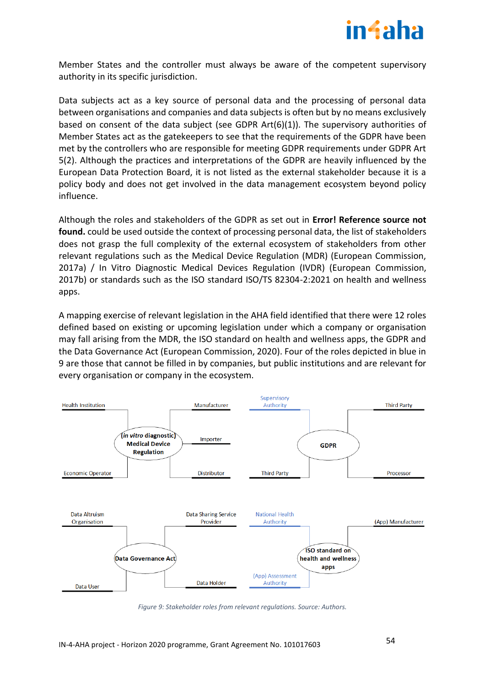

Member States and the controller must always be aware of the competent supervisory authority in its specific jurisdiction.

Data subjects act as a key source of personal data and the processing of personal data between organisations and companies and data subjects is often but by no means exclusively based on consent of the data subject (see GDPR Art(6)(1)). The supervisory authorities of Member States act as the gatekeepers to see that the requirements of the GDPR have been met by the controllers who are responsible for meeting GDPR requirements under GDPR Art 5(2). Although the practices and interpretations of the GDPR are heavily influenced by the European Data Protection Board, it is not listed as the external stakeholder because it is a policy body and does not get involved in the data management ecosystem beyond policy influence.

Although the roles and stakeholders of the GDPR as set out in **Error! Reference source not found.** could be used outside the context of processing personal data, the list of stakeholders does not grasp the full complexity of the external ecosystem of stakeholders from other relevant regulations such as the Medical Device Regulation (MDR) (European Commission, 2017a) / In Vitro Diagnostic Medical Devices Regulation (IVDR) (European Commission, 2017b) or standards such as the ISO standard ISO/TS 82304-2:2021 on health and wellness apps.

A mapping exercise of relevant legislation in the AHA field identified that there were 12 roles defined based on existing or upcoming legislation under which a company or organisation may fall arising from the MDR, the ISO standard on health and wellness apps, the GDPR and the Data Governance Act (European Commission, 2020). Four of the roles depicted in blue in 9 are those that cannot be filled in by companies, but public institutions and are relevant for every organisation or company in the ecosystem.



*Figure 9: Stakeholder roles from relevant regulations. Source: Authors.*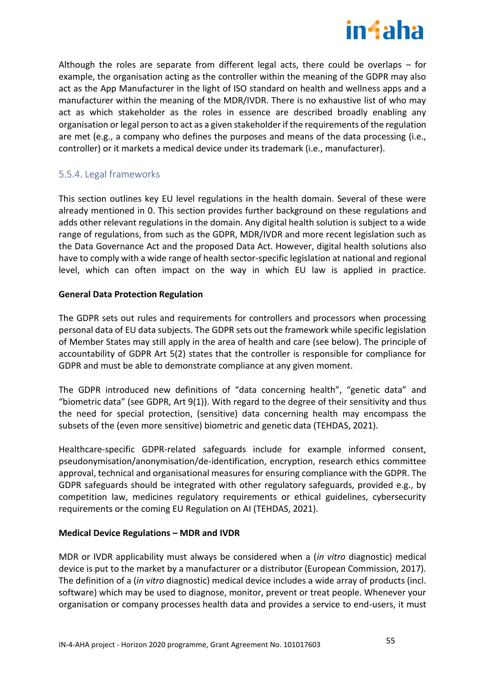

Although the roles are separate from different legal acts, there could be overlaps – for example, the organisation acting as the controller within the meaning of the GDPR may also act as the App Manufacturer in the light of ISO standard on health and wellness apps and a manufacturer within the meaning of the MDR/IVDR. There is no exhaustive list of who may act as which stakeholder as the roles in essence are described broadly enabling any organisation or legal person to act as a given stakeholder if the requirements of the regulation are met (e.g., a company who defines the purposes and means of the data processing (i.e., controller) or it markets a medical device under its trademark (i.e., manufacturer).

# <span id="page-54-0"></span>5.5.4. Legal frameworks

This section outlines key EU level regulations in the health domain. Several of these were already mentioned in [0.](#page-51-1) This section provides further background on these regulations and adds other relevant regulations in the domain. Any digital health solution is subject to a wide range of regulations, from such as the GDPR, MDR/IVDR and more recent legislation such as the Data Governance Act and the proposed Data Act. However, digital health solutions also have to comply with a wide range of health sector-specific legislation at national and regional level, which can often impact on the way in which EU law is applied in practice.

## **General Data Protection Regulation**

The GDPR sets out rules and requirements for controllers and processors when processing personal data of EU data subjects. The GDPR sets out the framework while specific legislation of Member States may still apply in the area of health and care (see below). The principle of accountability of GDPR Art 5(2) states that the controller is responsible for compliance for GDPR and must be able to demonstrate compliance at any given moment.

The GDPR introduced new definitions of "data concerning health", "genetic data" and "biometric data" (see GDPR, Art 9(1)). With regard to the degree of their sensitivity and thus the need for special protection, (sensitive) data concerning health may encompass the subsets of the (even more sensitive) biometric and genetic data (TEHDAS, 2021).

Healthcare-specific GDPR-related safeguards include for example informed consent, pseudonymisation/anonymisation/de-identification, encryption, research ethics committee approval, technical and organisational measures for ensuring compliance with the GDPR. The GDPR safeguards should be integrated with other regulatory safeguards, provided e.g., by competition law, medicines regulatory requirements or ethical guidelines, cybersecurity requirements or the coming EU Regulation on AI (TEHDAS, 2021).

# **Medical Device Regulations – MDR and IVDR**

MDR or IVDR applicability must always be considered when a (*in vitro* diagnostic) medical device is put to the market by a manufacturer or a distributor (European Commission, 2017). The definition of a (*in vitro* diagnostic) medical device includes a wide array of products (incl. software) which may be used to diagnose, monitor, prevent or treat people. Whenever your organisation or company processes health data and provides a service to end-users, it must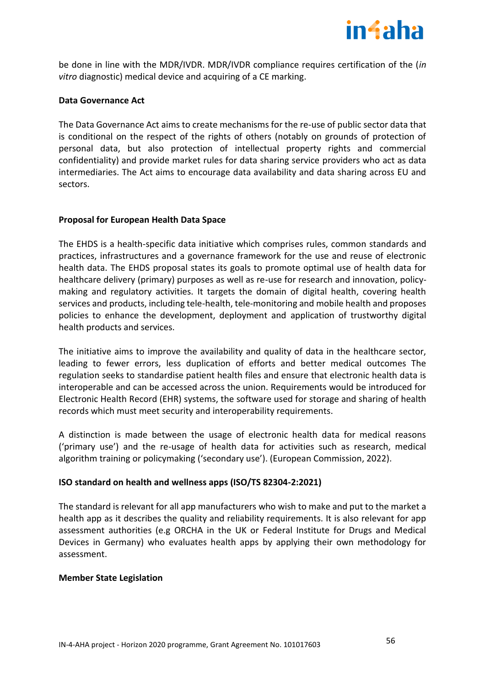

be done in line with the MDR/IVDR. MDR/IVDR compliance requires certification of the (*in vitro* diagnostic) medical device and acquiring of a CE marking.

### **Data Governance Act**

The Data Governance Act aims to create mechanisms for the re-use of public sector data that is conditional on the respect of the rights of others (notably on grounds of protection of personal data, but also protection of intellectual property rights and commercial confidentiality) and provide market rules for data sharing service providers who act as data intermediaries. The Act aims to encourage data availability and data sharing across EU and sectors.

#### **Proposal for European Health Data Space**

The EHDS is a health-specific data initiative which comprises rules, common standards and practices, infrastructures and a governance framework for the use and reuse of electronic health data. The EHDS proposal states its goals to promote optimal use of health data for healthcare delivery (primary) purposes as well as re-use for research and innovation, policymaking and regulatory activities. It targets the domain of digital health, covering health services and products, including tele-health, tele-monitoring and mobile health and proposes policies to enhance the development, deployment and application of trustworthy digital health products and services.

The initiative aims to improve the availability and quality of data in the healthcare sector, leading to fewer errors, less duplication of efforts and better medical outcomes The regulation seeks to standardise patient health files and ensure that electronic health data is interoperable and can be accessed across the union. Requirements would be introduced for Electronic Health Record (EHR) systems, the software used for storage and sharing of health records which must meet security and interoperability requirements.

A distinction is made between the usage of electronic health data for medical reasons ('primary use') and the re-usage of health data for activities such as research, medical algorithm training or policymaking ('secondary use'). (European Commission, 2022).

## **ISO standard on health and wellness apps (ISO/TS 82304-2:2021)**

The standard is relevant for all app manufacturers who wish to make and put to the market a health app as it describes the quality and reliability requirements. It is also relevant for app assessment authorities (e.g ORCHA in the UK or Federal Institute for Drugs and Medical Devices in Germany) who evaluates health apps by applying their own methodology for assessment.

## **Member State Legislation**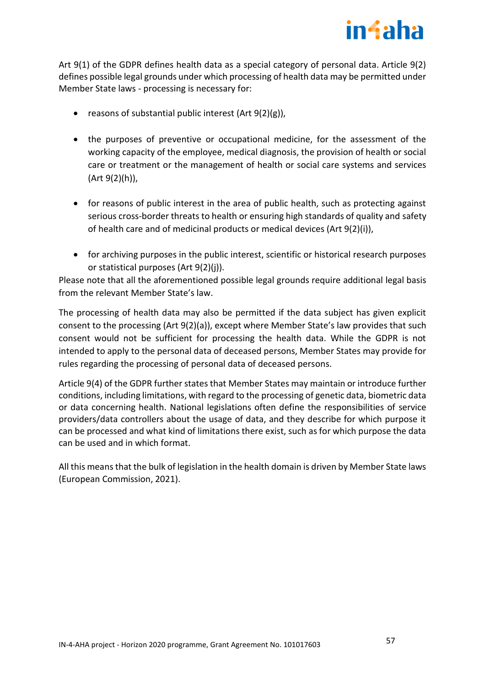

Art 9(1) of the GDPR defines health data as a special category of personal data. Article 9(2) defines possible legal grounds under which processing of health data may be permitted under Member State laws - processing is necessary for:

- reasons of substantial public interest  $(Art 9(2)(g))$ ,
- the purposes of preventive or occupational medicine, for the assessment of the working capacity of the employee, medical diagnosis, the provision of health or social care or treatment or the management of health or social care systems and services (Art 9(2)(h)),
- for reasons of public interest in the area of public health, such as protecting against serious cross-border threats to health or ensuring high standards of quality and safety of health care and of medicinal products or medical devices (Art 9(2)(i)),
- for archiving purposes in the public interest, scientific or historical research purposes or statistical purposes (Art 9(2)(j)).

Please note that all the aforementioned possible legal grounds require additional legal basis from the relevant Member State's law.

The processing of health data may also be permitted if the data subject has given explicit consent to the processing (Art 9(2)(a)), except where Member State's law provides that such consent would not be sufficient for processing the health data. While the GDPR is not intended to apply to the personal data of deceased persons, Member States may provide for rules regarding the processing of personal data of deceased persons.

Article 9(4) of the GDPR further states that Member States may maintain or introduce further conditions, including limitations, with regard to the processing of genetic data, biometric data or data concerning health. National legislations often define the responsibilities of service providers/data controllers about the usage of data, and they describe for which purpose it can be processed and what kind of limitations there exist, such as for which purpose the data can be used and in which format.

All this means that the bulk of legislation in the health domain is driven by Member State laws (European Commission, 2021).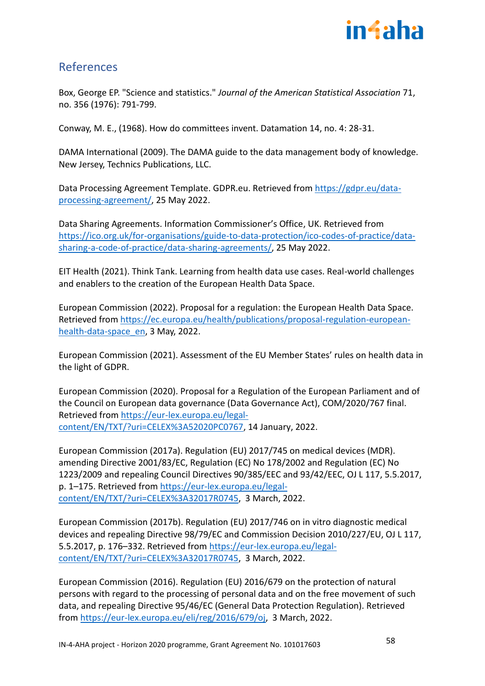

# <span id="page-57-0"></span>References

Box, George EP. "Science and statistics." *Journal of the American Statistical Association* 71, no. 356 (1976): 791-799.

Conway, M. E., (1968). How do committees invent. Datamation 14, no. 4: 28-31.

DAMA International (2009). The DAMA guide to the data management body of knowledge. New Jersey, Technics Publications, LLC.

Data Processing Agreement Template. GDPR.eu. Retrieved from [https://gdpr.eu/data](https://gdpr.eu/data-processing-agreement/)[processing-agreement/,](https://gdpr.eu/data-processing-agreement/) 25 May 2022.

Data Sharing Agreements. Information Commissioner's Office, UK. Retrieved from [https://ico.org.uk/for-organisations/guide-to-data-protection/ico-codes-of-practice/data](https://ico.org.uk/for-organisations/guide-to-data-protection/ico-codes-of-practice/data-sharing-a-code-of-practice/data-sharing-agreements/)[sharing-a-code-of-practice/data-sharing-agreements/,](https://ico.org.uk/for-organisations/guide-to-data-protection/ico-codes-of-practice/data-sharing-a-code-of-practice/data-sharing-agreements/) 25 May 2022.

EIT Health (2021). Think Tank. Learning from health data use cases. Real-world challenges and enablers to the creation of the European Health Data Space.

European Commission (2022). Proposal for a regulation: the European Health Data Space. Retrieved fro[m https://ec.europa.eu/health/publications/proposal-regulation-european](https://ec.europa.eu/health/publications/proposal-regulation-european-health-data-space_en)[health-data-space\\_en,](https://ec.europa.eu/health/publications/proposal-regulation-european-health-data-space_en) 3 May, 2022.

European Commission (2021). Assessment of the EU Member States' rules on health data in the light of GDPR.

European Commission (2020). Proposal for a Regulation of the European Parliament and of the Council on European data governance (Data Governance Act), COM/2020/767 final. Retrieved from [https://eur-lex.europa.eu/legal](https://eur-lex.europa.eu/legal-content/EN/TXT/?uri=CELEX%3A52020PC0767)[content/EN/TXT/?uri=CELEX%3A52020PC0767,](https://eur-lex.europa.eu/legal-content/EN/TXT/?uri=CELEX%3A52020PC0767) 14 January, 2022.

European Commission (2017a). Regulation (EU) 2017/745 on medical devices (MDR). amending Directive 2001/83/EC, Regulation (EC) No 178/2002 and Regulation (EC) No 1223/2009 and repealing Council Directives 90/385/EEC and 93/42/EEC, OJ L 117, 5.5.2017, p. 1–175. Retrieved from [https://eur-lex.europa.eu/legal](https://eur-lex.europa.eu/legal-content/EN/TXT/?uri=CELEX%3A32017R0745)[content/EN/TXT/?uri=CELEX%3A32017R0745,](https://eur-lex.europa.eu/legal-content/EN/TXT/?uri=CELEX%3A32017R0745) 3 March, 2022.

European Commission (2017b). Regulation (EU) 2017/746 on in vitro diagnostic medical devices and repealing Directive 98/79/EC and Commission Decision 2010/227/EU, OJ L 117, 5.5.2017, p. 176–332. Retrieved from [https://eur-lex.europa.eu/legal](https://eur-lex.europa.eu/legal-content/EN/TXT/?uri=CELEX%3A32017R0745)[content/EN/TXT/?uri=CELEX%3A32017R0745,](https://eur-lex.europa.eu/legal-content/EN/TXT/?uri=CELEX%3A32017R0745) 3 March, 2022.

European Commission (2016). Regulation (EU) 2016/679 on the protection of natural persons with regard to the processing of personal data and on the free movement of such data, and repealing Directive 95/46/EC (General Data Protection Regulation). Retrieved from [https://eur-lex.europa.eu/eli/reg/2016/679/oj,](https://eur-lex.europa.eu/eli/reg/2016/679/oj) 3 March, 2022.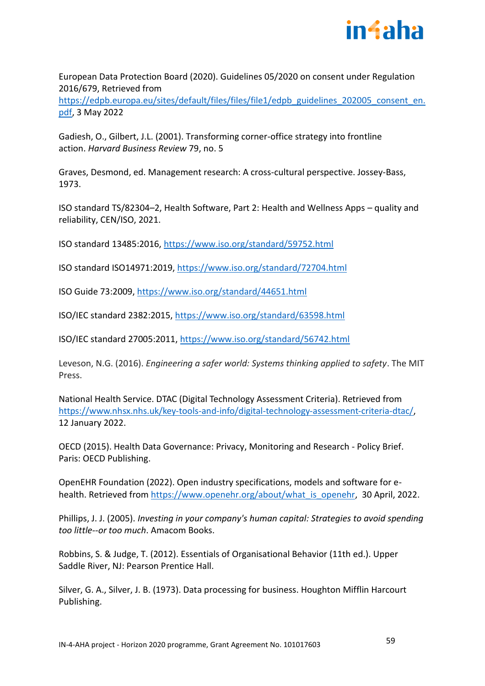

European Data Protection Board (2020). Guidelines 05/2020 on consent under Regulation 2016/679, Retrieved from

[https://edpb.europa.eu/sites/default/files/files/file1/edpb\\_guidelines\\_202005\\_consent\\_en.](https://edpb.europa.eu/sites/default/files/files/file1/edpb_guidelines_202005_consent_en.pdf) [pdf,](https://edpb.europa.eu/sites/default/files/files/file1/edpb_guidelines_202005_consent_en.pdf) 3 May 2022

Gadiesh, O., Gilbert, J.L. (2001). Transforming corner-office strategy into frontline action. *Harvard Business Review* 79, no. 5

Graves, Desmond, ed. Management research: A cross-cultural perspective. Jossey-Bass, 1973.

ISO standard TS/82304–2, Health Software, Part 2: Health and Wellness Apps – quality and reliability, CEN/ISO, 2021.

ISO standard 13485:2016,<https://www.iso.org/standard/59752.html>

ISO standard ISO14971:2019,<https://www.iso.org/standard/72704.html>

ISO Guide 73:2009,<https://www.iso.org/standard/44651.html>

ISO/IEC standard 2382:2015[, https://www.iso.org/standard/63598.html](https://www.iso.org/standard/63598.html)

ISO/IEC standard 27005:2011,<https://www.iso.org/standard/56742.html>

Leveson, N.G. (2016). *Engineering a safer world: Systems thinking applied to safety*. The MIT Press.

National Health Service. DTAC (Digital Technology Assessment Criteria). Retrieved from [https://www.nhsx.nhs.uk/key-tools-and-info/digital-technology-assessment-criteria-dtac/,](https://www.nhsx.nhs.uk/key-tools-and-info/digital-technology-assessment-criteria-dtac/) 12 January 2022.

OECD (2015). Health Data Governance: Privacy, Monitoring and Research - Policy Brief. Paris: OECD Publishing.

OpenEHR Foundation (2022). Open industry specifications, models and software for ehealth. Retrieved from [https://www.openehr.org/about/what\\_is\\_openehr,](https://www.openehr.org/about/what_is_openehr) 30 April, 2022.

Phillips, J. J. (2005). *Investing in your company's human capital: Strategies to avoid spending too little--or too much*. Amacom Books.

Robbins, S. & Judge, T. (2012). Essentials of Organisational Behavior (11th ed.). Upper Saddle River, NJ: Pearson Prentice Hall.

Silver, G. A., Silver, J. B. (1973). Data processing for business. Houghton Mifflin Harcourt Publishing.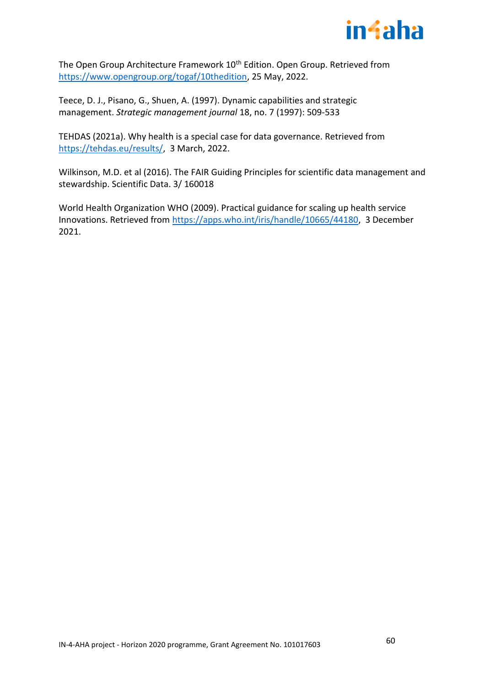

The Open Group Architecture Framework 10<sup>th</sup> Edition. Open Group. Retrieved from [https://www.opengroup.org/togaf/10thedition,](https://www.opengroup.org/togaf/10thedition) 25 May, 2022.

Teece, D. J., Pisano, G., Shuen, A. (1997). Dynamic capabilities and strategic management. *Strategic management journal* 18, no. 7 (1997): 509-533

TEHDAS (2021a). Why health is a special case for data governance. Retrieved from [https://tehdas.eu/results/,](https://tehdas.eu/results/) 3 March, 2022.

Wilkinson, M.D. et al (2016). The FAIR Guiding Principles for scientific data management and stewardship. Scientific Data. 3/ 160018

World Health Organization WHO (2009). Practical guidance for scaling up health service Innovations. Retrieved from [https://apps.who.int/iris/handle/10665/44180,](https://apps.who.int/iris/handle/10665/44180) 3 December 2021.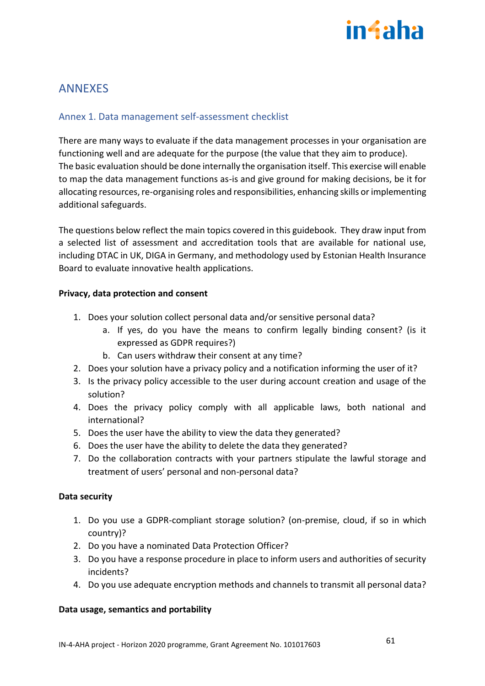# in4aha

# <span id="page-60-0"></span>ANNEXES

# <span id="page-60-1"></span>Annex 1. Data management self-assessment checklist

There are many ways to evaluate if the data management processes in your organisation are functioning well and are adequate for the purpose (the value that they aim to produce). The basic evaluation should be done internally the organisation itself. This exercise will enable to map the data management functions as-is and give ground for making decisions, be it for allocating resources, re-organising roles and responsibilities, enhancing skills or implementing additional safeguards.

The questions below reflect the main topics covered in this guidebook. They draw input from a selected list of assessment and accreditation tools that are available for national use, including DTAC in UK, DIGA in Germany, and methodology used by Estonian Health Insurance Board to evaluate innovative health applications.

## **Privacy, data protection and consent**

- 1. Does your solution collect personal data and/or sensitive personal data?
	- a. If yes, do you have the means to confirm legally binding consent? (is it expressed as GDPR requires?)
	- b. Can users withdraw their consent at any time?
- 2. Does your solution have a privacy policy and a notification informing the user of it?
- 3. Is the privacy policy accessible to the user during account creation and usage of the solution?
- 4. Does the privacy policy comply with all applicable laws, both national and international?
- 5. Does the user have the ability to view the data they generated?
- 6. Does the user have the ability to delete the data they generated?
- 7. Do the collaboration contracts with your partners stipulate the lawful storage and treatment of users' personal and non-personal data?

## **Data security**

- 1. Do you use a GDPR-compliant storage solution? (on-premise, cloud, if so in which country)?
- 2. Do you have a nominated Data Protection Officer?
- 3. Do you have a response procedure in place to inform users and authorities of security incidents?
- 4. Do you use adequate encryption methods and channels to transmit all personal data?

## **Data usage, semantics and portability**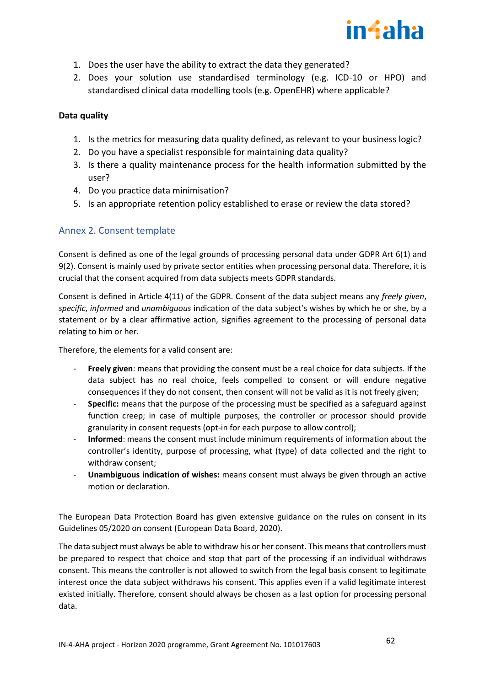

- 1. Does the user have the ability to extract the data they generated?
- 2. Does your solution use standardised terminology (e.g. ICD-10 or HPO) and standardised clinical data modelling tools (e.g. OpenEHR) where applicable?

## **Data quality**

- 1. Is the metrics for measuring data quality defined, as relevant to your business logic?
- 2. Do you have a specialist responsible for maintaining data quality?
- 3. Is there a quality maintenance process for the health information submitted by the user?
- 4. Do you practice data minimisation?
- 5. Is an appropriate retention policy established to erase or review the data stored?

# <span id="page-61-0"></span>Annex 2. Consent template

Consent is defined as one of the legal grounds of processing personal data under GDPR Art 6(1) and 9(2). Consent is mainly used by private sector entities when processing personal data. Therefore, it is crucial that the consent acquired from data subjects meets GDPR standards.

Consent is defined in Article 4(11) of the GDPR. Consent of the data subject means any *freely given*, *specific*, *informed* and *unambiguous* indication of the data subject's wishes by which he or she, by a statement or by a clear affirmative action, signifies agreement to the processing of personal data relating to him or her.

Therefore, the elements for a valid consent are:

- **Freely given**: means that providing the consent must be a real choice for data subjects. If the data subject has no real choice, feels compelled to consent or will endure negative consequences if they do not consent, then consent will not be valid as it is not freely given;
- **Specific:** means that the purpose of the processing must be specified as a safeguard against function creep; in case of multiple purposes, the controller or processor should provide granularity in consent requests (opt-in for each purpose to allow control);
- **Informed**: means the consent must include minimum requirements of information about the controller's identity, purpose of processing, what (type) of data collected and the right to withdraw consent;
- **Unambiguous indication of wishes:** means consent must always be given through an active motion or declaration.

The European Data Protection Board has given extensive guidance on the rules on consent in its Guidelines 05/2020 on consent (European Data Board, 2020).

The data subject must always be able to withdraw his or her consent. This means that controllers must be prepared to respect that choice and stop that part of the processing if an individual withdraws consent. This means the controller is not allowed to switch from the legal basis consent to legitimate interest once the data subject withdraws his consent. This applies even if a valid legitimate interest existed initially. Therefore, consent should always be chosen as a last option for processing personal data.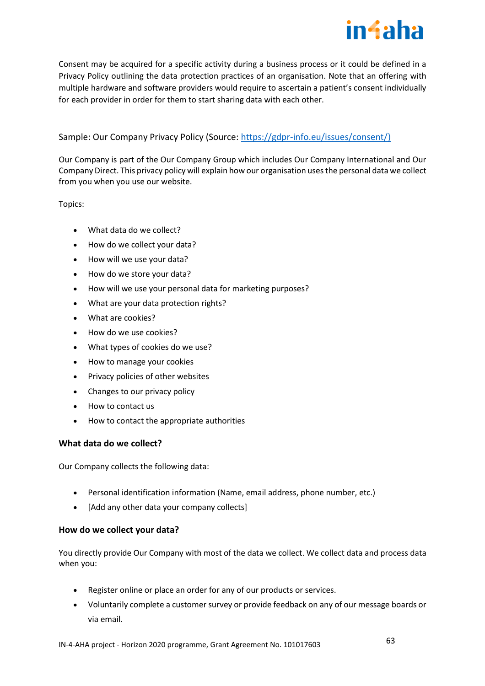

Consent may be acquired for a specific activity during a business process or it could be defined in a Privacy Policy outlining the data protection practices of an organisation. Note that an offering with multiple hardware and software providers would require to ascertain a patient's consent individually for each provider in order for them to start sharing data with each other.

## Sample: Our Company Privacy Policy (Source: [https://gdpr-info.eu/issues/consent/\)](https://gdpr-info.eu/issues/consent/)

Our Company is part of the Our Company Group which includes Our Company International and Our Company Direct. This privacy policy will explain how our organisation uses the personal data we collect from you when you use our website.

Topics:

- What data do we collect?
- How do we collect your data?
- How will we use your data?
- How do we store your data?
- How will we use your personal data for marketing purposes?
- What are your data protection rights?
- What are cookies?
- How do we use cookies?
- What types of cookies do we use?
- How to manage your cookies
- Privacy policies of other websites
- Changes to our privacy policy
- How to contact us
- How to contact the appropriate authorities

#### **What data do we collect?**

Our Company collects the following data:

- Personal identification information (Name, email address, phone number, etc.)
- [Add any other data your company collects]

#### **How do we collect your data?**

You directly provide Our Company with most of the data we collect. We collect data and process data when you:

- Register online or place an order for any of our products or services.
- Voluntarily complete a customer survey or provide feedback on any of our message boards or via email.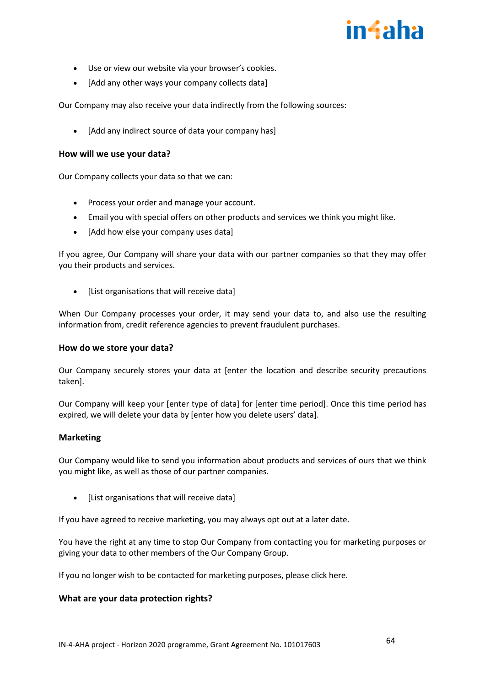# in4aha

- Use or view our website via your browser's cookies.
- [Add any other ways your company collects data]

Our Company may also receive your data indirectly from the following sources:

• [Add any indirect source of data your company has]

#### **How will we use your data?**

Our Company collects your data so that we can:

- Process your order and manage your account.
- Email you with special offers on other products and services we think you might like.
- [Add how else your company uses data]

If you agree, Our Company will share your data with our partner companies so that they may offer you their products and services.

[List organisations that will receive data]

When Our Company processes your order, it may send your data to, and also use the resulting information from, credit reference agencies to prevent fraudulent purchases.

#### **How do we store your data?**

Our Company securely stores your data at [enter the location and describe security precautions taken].

Our Company will keep your [enter type of data] for [enter time period]. Once this time period has expired, we will delete your data by [enter how you delete users' data].

#### **Marketing**

Our Company would like to send you information about products and services of ours that we think you might like, as well as those of our partner companies.

• [List organisations that will receive data]

If you have agreed to receive marketing, you may always opt out at a later date.

You have the right at any time to stop Our Company from contacting you for marketing purposes or giving your data to other members of the Our Company Group.

If you no longer wish to be contacted for marketing purposes, please click here.

## **What are your data protection rights?**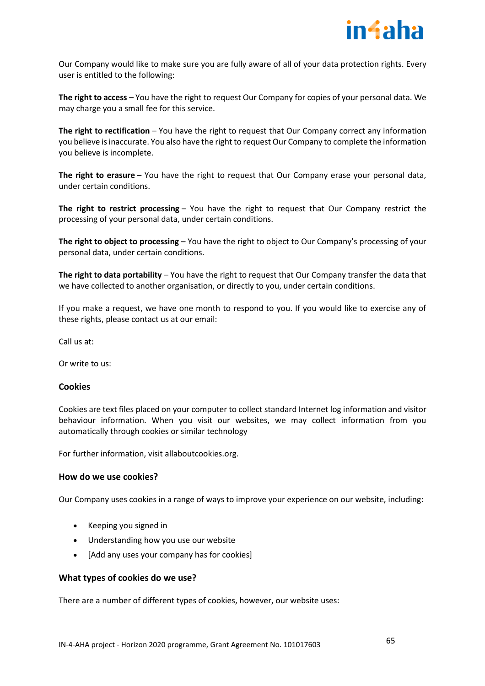

Our Company would like to make sure you are fully aware of all of your data protection rights. Every user is entitled to the following:

**The right to access** – You have the right to request Our Company for copies of your personal data. We may charge you a small fee for this service.

**The right to rectification** – You have the right to request that Our Company correct any information you believe is inaccurate. You also have the right to request Our Company to complete the information you believe is incomplete.

**The right to erasure** – You have the right to request that Our Company erase your personal data, under certain conditions.

**The right to restrict processing** – You have the right to request that Our Company restrict the processing of your personal data, under certain conditions.

**The right to object to processing** – You have the right to object to Our Company's processing of your personal data, under certain conditions.

**The right to data portability** – You have the right to request that Our Company transfer the data that we have collected to another organisation, or directly to you, under certain conditions.

If you make a request, we have one month to respond to you. If you would like to exercise any of these rights, please contact us at our email:

Call us at:

Or write to us:

#### **Cookies**

Cookies are text files placed on your computer to collect standard Internet log information and visitor behaviour information. When you visit our websites, we may collect information from you automatically through cookies or similar technology

For further information, visit allaboutcookies.org.

## **How do we use cookies?**

Our Company uses cookies in a range of ways to improve your experience on our website, including:

- Keeping you signed in
- Understanding how you use our website
- [Add any uses your company has for cookies]

#### **What types of cookies do we use?**

There are a number of different types of cookies, however, our website uses: